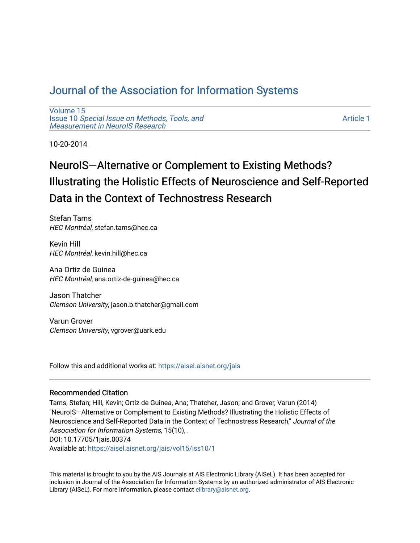# [Journal of the Association for Information Systems](https://aisel.aisnet.org/jais)

[Volume 15](https://aisel.aisnet.org/jais/vol15) Issue 10 [Special Issue on Methods, Tools, and](https://aisel.aisnet.org/jais/vol15/iss10)  [Measurement in NeuroIS Research](https://aisel.aisnet.org/jais/vol15/iss10)

[Article 1](https://aisel.aisnet.org/jais/vol15/iss10/1) 

10-20-2014

# NeuroIS—Alternative or Complement to Existing Methods? Illustrating the Holistic Effects of Neuroscience and Self-Reported Data in the Context of Technostress Research

Stefan Tams HEC Montréal, stefan.tams@hec.ca

Kevin Hill HEC Montréal, kevin.hill@hec.ca

Ana Ortiz de Guinea HEC Montréal, ana.ortiz-de-guinea@hec.ca

Jason Thatcher Clemson University, jason.b.thatcher@gmail.com

Varun Grover Clemson University, vgrover@uark.edu

Follow this and additional works at: [https://aisel.aisnet.org/jais](https://aisel.aisnet.org/jais?utm_source=aisel.aisnet.org%2Fjais%2Fvol15%2Fiss10%2F1&utm_medium=PDF&utm_campaign=PDFCoverPages) 

#### Recommended Citation

Tams, Stefan; Hill, Kevin; Ortiz de Guinea, Ana; Thatcher, Jason; and Grover, Varun (2014) "NeuroIS—Alternative or Complement to Existing Methods? Illustrating the Holistic Effects of Neuroscience and Self-Reported Data in the Context of Technostress Research," Journal of the Association for Information Systems, 15(10), . DOI: 10.17705/1jais.00374 Available at: [https://aisel.aisnet.org/jais/vol15/iss10/1](https://aisel.aisnet.org/jais/vol15/iss10/1?utm_source=aisel.aisnet.org%2Fjais%2Fvol15%2Fiss10%2F1&utm_medium=PDF&utm_campaign=PDFCoverPages) 

This material is brought to you by the AIS Journals at AIS Electronic Library (AISeL). It has been accepted for inclusion in Journal of the Association for Information Systems by an authorized administrator of AIS Electronic Library (AISeL). For more information, please contact [elibrary@aisnet.org.](mailto:elibrary@aisnet.org%3E)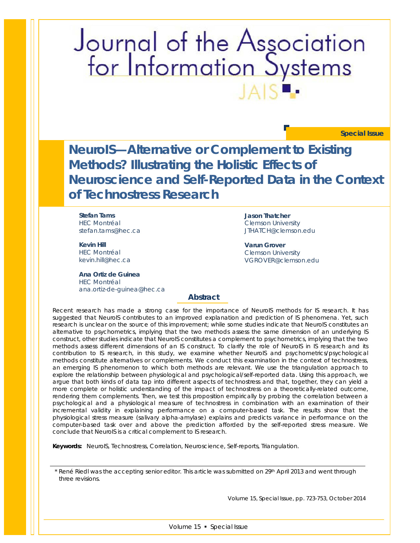# Journal of the Association<br>for Information Systems

**Special Issue**

**NeuroIS—Alternative or Complement to Existing Methods? Illustrating the Holistic Effects of Neuroscience and Self-Reported Data in the Context of Technostress Research**

> **Jason Thatcher**  Clemson University JTHATCH@clemson.edu

**Varun Grover**  Clemson University VGROVER@clemson.edu

**Stefan Tams** HEC Montréal stefan.tams@hec.ca

**Kevin Hill**  HEC Montréal kevin.hill@hec.ca

**Ana Ortiz de Guinea** HEC Montréal ana.ortiz-de-guinea@hec.ca

**Abstract**

*Recent research has made a strong case for the importance of NeuroIS methods for IS research. It has suggested that NeuroIS contributes to an improved explanation and prediction of IS phenomena. Yet, such research is unclear on the source of this improvement; while some studies indicate that NeuroIS constitutes an alternative to psychometrics, implying that the two methods assess the same dimension of an underlying IS construct, other studies indicate that NeuroIS constitutes a complement to psychometrics, implying that the two methods assess different dimensions of an IS construct. To clarify the role of NeuroIS in IS research and its contribution to IS research, in this study, we examine whether NeuroIS and psychometrics/psychological methods constitute alternatives or complements. We conduct this examination in the context of technostress, an emerging IS phenomenon to which both methods are relevant. We use the triangulation approach to*  explore the relationship between physiological and psychological/self-reported data. Using this approach, we *argue that both kinds of data tap into different aspects of technostress and that, together, they can yield a more complete or holistic understanding of the impact of technostress on a theoretically-related outcome, rendering them complements. Then, we test this proposition empirically by probing the correlation between a*  psychological and a physiological measure of technostress in combination with an examination of their *incremental validity in explaining performance on a computer-based task. The results show that the physiological stress measure (salivary alpha-amylase) explains and predicts variance in performance on the computer-based task over and above the prediction afforded by the self-reported stress measure. We conclude that NeuroIS is a critical complement to IS research.*

*Keywords: NeuroIS, Technostress, Correlation, Neuroscience, Self-reports, Triangulation.*

\* René Riedl was the accepting senior editor. This article was submitted on 29<sup>th</sup> April 2013 and went through three revisions.

Volume 15, Special Issue, pp. 723-753, October 2014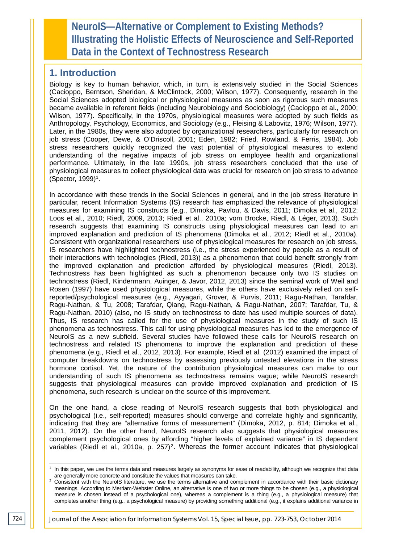**NeuroIS—Alternative or Complement to Existing Methods? Illustrating the Holistic Effects of Neuroscience and Self-Reported Data in the Context of Technostress Research**

## **1. Introduction**

Biology is key to human behavior, which, in turn, is extensively studied in the Social Sciences (Cacioppo, Berntson, Sheridan, & McClintock, 2000; Wilson, 1977). Consequently, research in the Social Sciences adopted biological or physiological measures as soon as rigorous such measures became available in referent fields (including Neurobiology and Sociobiology) (Cacioppo et al., 2000; Wilson, 1977). Specifically, in the 1970s, physiological measures were adopted by such fields as Anthropology, Psychology, Economics, and Sociology (e.g., Fleising & Labovitz, 1976; Wilson, 1977). Later, in the 1980s, they were also adopted by organizational researchers, particularly for research on job stress (Cooper, Dewe, & O'Driscoll, 2001; Eden, 1982; Fried, Rowland, & Ferris, 1984). Job stress researchers quickly recognized the vast potential of physiological measures to extend understanding of the negative impacts of job stress on employee health and organizational performance. Ultimately, in the late 1990s, job stress researchers concluded that the use of physiological measures to collect physiological data was crucial for research on job stress to advance (Spector, 1999)1.

In accordance with these trends in the Social Sciences in general, and in the job stress literature in particular, recent Information Systems (IS) research has emphasized the relevance of physiological measures for examining IS constructs (e.g., Dimoka, Pavlou, & Davis, 2011; Dimoka et al., 2012; Loos et al., 2010; Riedl, 2009, 2013; Riedl et al., 2010a; vom Brocke, Riedl, & Léger, 2013). Such research suggests that examining IS constructs using physiological measures can lead to an improved explanation and prediction of IS phenomena (Dimoka et al., 2012; Riedl et al., 2010a). Consistent with organizational researchers' use of physiological measures for research on job stress, IS researchers have highlighted technostress (i.e., the stress experienced by people as a result of their interactions with technologies (Riedl, 2013)) as a phenomenon that could benefit strongly from the improved explanation and prediction afforded by physiological measures (Riedl, 2013). Technostress has been highlighted as such a phenomenon because only two IS studies on technostress (Riedl, Kindermann, Auinger, & Javor, 2012, 2013) since the seminal work of Weil and Rosen (1997) have used physiological measures, while the others have exclusively relied on selfreported/psychological measures (e.g., Ayyagari, Grover, & Purvis, 2011; Ragu-Nathan, Tarafdar, Ragu-Nathan, & Tu, 2008; Tarafdar, Qiang, Ragu-Nathan, & Ragu-Nathan, 2007; Tarafdar, Tu, & Ragu-Nathan, 2010) (also, no IS study on technostress to date has used multiple sources of data). Thus, IS research has called for the use of physiological measures in the study of such IS phenomena as technostress. This call for using physiological measures has led to the emergence of NeuroIS as a new subfield. Several studies have followed these calls for NeuroIS research on technostress and related IS phenomena to improve the explanation and prediction of these phenomena (e.g., Riedl et al., 2012, 2013). For example, Riedl et al. (2012) examined the impact of computer breakdowns on technostress by assessing previously untested elevations in the stress hormone cortisol. Yet, the nature of the contribution physiological measures can make to our understanding of such IS phenomena as technostress remains vague; while NeuroIS research suggests that physiological measures can provide improved explanation and prediction of IS phenomena, such research is unclear on the source of this improvement.

On the one hand, a close reading of NeuroIS research suggests that both physiological and psychological (i.e., self-reported) measures should converge and correlate highly and significantly, indicating that they are "alternative forms of measurement" (Dimoka, 2012, p. 814; Dimoka et al., 2011, 2012). On the other hand, NeuroIS research also suggests that physiological measures complement psychological ones by affording "higher levels of explained variance" in IS dependent variables (Riedl et al., 2010a, p.  $257$ )<sup>2</sup>. Whereas the former account indicates that physiological

<sup>&</sup>lt;sup>1</sup> In this paper, we use the terms data and measures largely as synonyms for ease of readability, although we recognize that data are generally more concrete and constitute the values that measures can take. j

<sup>&</sup>lt;sup>2</sup> Consistent with the NeuroIS literature, we use the terms alternative and complement in accordance with their basic dictionary meanings. According to Merriam-Webster Online, an alternative is one of two or more things to be chosen (e.g., a physiological measure is chosen instead of a psychological one), whereas a complement is a thing (e.g., a physiological measure) that completes another thing (e.g., a psychological measure) by providing something additional (e.g., it explains additional variance in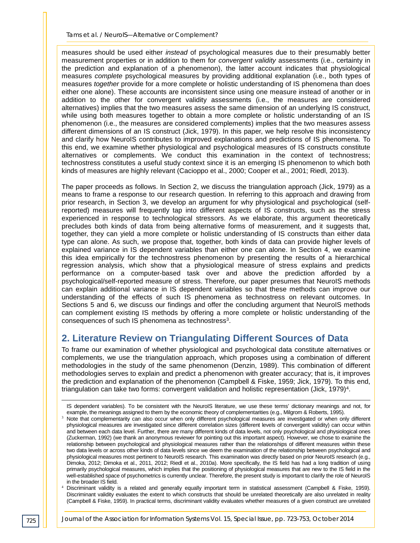measures should be used either *instead* of psychological measures due to their presumably better measurement properties or in addition to them for *convergent validity* assessments (i.e., certainty in the prediction and explanation of a phenomenon), the latter account indicates that physiological measures *complete* psychological measures by providing additional explanation (i.e., both types of measures *together* provide for a more complete or holistic understanding of IS phenomena than does either one alone). These accounts are inconsistent since using one measure instead of another or in addition to the other for convergent validity assessments (i.e., the measures are considered alternatives) implies that the two measures assess the same dimension of an underlying IS construct, while using both measures together to obtain a more complete or holistic understanding of an IS phenomenon (i.e., the measures are considered complements) implies that the two measures assess different dimensions of an IS construct (Jick, 1979). In this paper, we help resolve this inconsistency and clarify how NeuroIS contributes to improved explanations and predictions of IS phenomena. To this end, we examine whether physiological and psychological measures of IS constructs constitute alternatives or complements. We conduct this examination in the context of technostress; technostress constitutes a useful study context since it is an emerging IS phenomenon to which both kinds of measures are highly relevant (Cacioppo et al., 2000; Cooper et al., 2001; Riedl, 2013).

The paper proceeds as follows. In Section 2, we discuss the triangulation approach (Jick, 1979) as a means to frame a response to our research question. In referring to this approach and drawing from prior research, in Section 3, we develop an argument for why physiological and psychological (selfreported) measures will frequently tap into different aspects of IS constructs, such as the stress experienced in response to technological stressors. As we elaborate, this argument theoretically precludes both kinds of data from being alternative forms of measurement, and it suggests that, together, they can yield a more complete or holistic understanding of IS constructs than either data type can alone. As such, we propose that, together, both kinds of data can provide higher levels of explained variance in IS dependent variables than either one can alone. In Section 4, we examine this idea empirically for the technostress phenomenon by presenting the results of a hierarchical regression analysis, which show that a physiological measure of stress explains and predicts performance on a computer-based task over and above the prediction afforded by a psychological/self-reported measure of stress. Therefore, our paper presumes that NeuroIS methods can explain additional variance in IS dependent variables so that these methods can improve our understanding of the effects of such IS phenomena as technostress on relevant outcomes. In Sections 5 and 6, we discuss our findings and offer the concluding argument that NeuroIS methods can complement existing IS methods by offering a more complete or holistic understanding of the consequences of such IS phenomena as technostress<sup>3</sup>.

# **2. Literature Review on Triangulating Different Sources of Data**

To frame our examination of whether physiological and psychological data constitute alternatives or complements, we use the triangulation approach, which proposes using a combination of different methodologies in the study of the same phenomenon (Denzin, 1989). This combination of different methodologies serves to explain and predict a phenomenon with greater accuracy; that is, it improves the prediction and explanation of the phenomenon (Campbell & Fiske, 1959; Jick, 1979). To this end, triangulation can take two forms: convergent validation and holistic representation (Jick, 1979)4.

Discriminant validity is a related and generally equally important term in statistical assessment (Campbell & Fiske, 1959). Discriminant validity evaluates the extent to which constructs that should be unrelated theoretically are also unrelated in reality (Campbell & Fiske, 1959). In practical terms, discriminant validity evaluates whether measures of a given construct are unrelated

j

IS dependent variables). To be consistent with the NeuroIS literature, we use these terms' dictionary meanings and not, for example, the meanings assigned to them by the economic theory of complementarities (e.g., Milgrom & Roberts, 1995).

<sup>&</sup>lt;sup>3</sup> Note that complementarity can also occur when only different psychological measures are investigated or when only different physiological measures are investigated since different correlation sizes (different levels of convergent validity) can occur within and between each data level. Further, there are many different kinds of data levels, not only psychological and physiological ones (Zuckerman, 1992) (we thank an anonymous reviewer for pointing out this important aspect). However, we chose to examine the relationship between psychological and physiological measures rather than the relationships of different measures within these two data levels or across other kinds of data levels since we deem the examination of the relationship between psychological and physiological measures most pertinent to NeuroIS research. This examination was directly based on prior NeuroIS research (e.g., Dimoka, 2012; Dimoka et al., 2011, 2012; Riedl et al., 2010a). More specifically, the IS field has had a long tradition of using primarily psychological measures, which implies that the positioning of physiological measures that are new to the IS field in the well-established space of psychometrics is currently unclear. Therefore, the present study is important to clarify the role of NeuroIS in the broader IS field.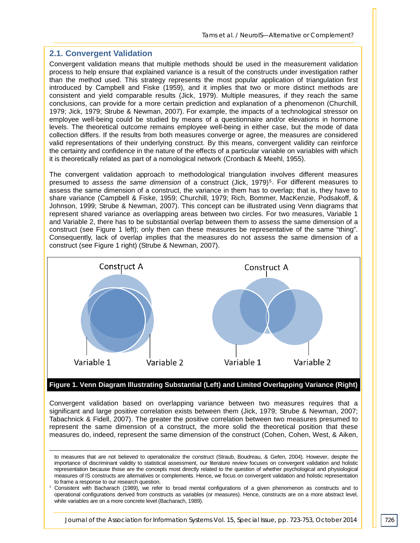#### **2.1. Convergent Validation**

j

Convergent validation means that multiple methods should be used in the measurement validation process to help ensure that explained variance is a result of the constructs under investigation rather than the method used. This strategy represents the most popular application of triangulation first introduced by Campbell and Fiske (1959), and it implies that two or more distinct methods are consistent and yield comparable results (Jick, 1979). Multiple measures, if they reach the same conclusions, can provide for a more certain prediction and explanation of a phenomenon (Churchill, 1979; Jick, 1979; Strube & Newman, 2007). For example, the impacts of a technological stressor on employee well-being could be studied by means of a questionnaire and/or elevations in hormone levels. The theoretical outcome remains employee well-being in either case, but the mode of data collection differs. If the results from both measures converge or agree, the measures are considered valid representations of their underlying construct. By this means, convergent validity can reinforce the certainty and confidence in the nature of the effects of a particular variable on variables with which it is theoretically related as part of a nomological network (Cronbach & Meehl, 1955).

The convergent validation approach to methodological triangulation involves different measures presumed to *assess the same dimension* of a construct (Jick, 1979)<sup>5</sup>. For different measures to assess the same dimension of a construct, the variance in them has to overlap; that is, they have to share variance (Campbell & Fiske, 1959; Churchill, 1979; Rich, Bommer, MacKenzie, Podsakoff, & Johnson, 1999; Strube & Newman, 2007). This concept can be illustrated using Venn diagrams that represent shared variance as overlapping areas between two circles. For two measures, Variable 1 and Variable 2, there has to be substantial overlap between them to assess the same dimension of a construct (see Figure 1 left); only then can these measures be representative of the same "thing". Consequently, lack of overlap implies that the measures do not assess the same dimension of a construct (see Figure 1 right) (Strube & Newman, 2007).



#### **Figure 1. Venn Diagram Illustrating Substantial (Left) and Limited Overlapping Variance (Right)**

Convergent validation based on overlapping variance between two measures requires that a significant and large positive correlation exists between them (Jick, 1979; Strube & Newman, 2007; Tabachnick & Fidell, 2007). The greater the positive correlation between two measures presumed to represent the same dimension of a construct, the more solid the theoretical position that these measures do, indeed, represent the same dimension of the construct (Cohen, Cohen, West, & Aiken,

to measures that are not believed to operationalize the construct (Straub, Boudreau, & Gefen, 2004). However, despite the importance of discriminant validity to statistical assessment, our literature review focuses on convergent validation and holistic representation because those are the concepts most directly related to the question of whether psychological and physiological measures of IS constructs are alternatives or complements. Hence, we focus on convergent validation and holistic representation to frame a response to our research question.

<sup>5</sup> Consistent with Bacharach (1989), we refer to broad mental configurations of a given phenomenon as constructs and to operational configurations derived from constructs as variables (or measures). Hence, constructs are on a more abstract level, while variables are on a more concrete level (Bacharach, 1989).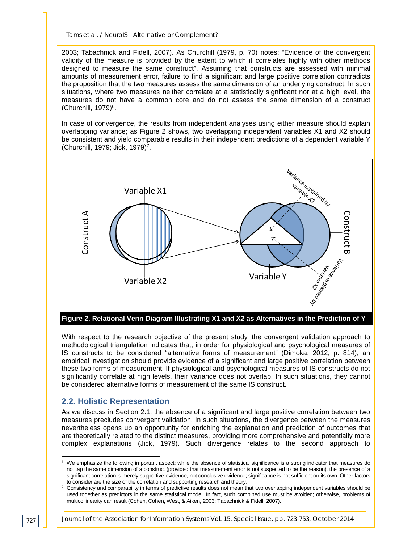2003; Tabachnick and Fidell, 2007). As Churchill (1979, p. 70) notes: "Evidence of the convergent validity of the measure is provided by the extent to which it correlates highly with other methods designed to measure the same construct". Assuming that constructs are assessed with minimal amounts of measurement error, failure to find a significant and large positive correlation contradicts the proposition that the two measures assess the same dimension of an underlying construct. In such situations, where two measures neither correlate at a statistically significant nor at a high level, the measures do not have a common core and do not assess the same dimension of a construct (Churchill, 1979)6.

In case of convergence, the results from independent analyses using either measure should explain overlapping variance; as Figure 2 shows, two overlapping independent variables X1 and X2 should be consistent and yield comparable results in their independent predictions of a dependent variable Y (Churchill, 1979; Jick, 1979)7.



With respect to the research objective of the present study, the convergent validation approach to methodological triangulation indicates that, in order for physiological and psychological measures of IS constructs to be considered "alternative forms of measurement" (Dimoka, 2012, p. 814), an empirical investigation should provide evidence of a significant and large positive correlation between these two forms of measurement. If physiological and psychological measures of IS constructs do not significantly correlate at high levels, their variance does not overlap. In such situations, they cannot be considered alternative forms of measurement of the same IS construct.

#### **2.2. Holistic Representation**

As we discuss in Section 2.1, the absence of a significant and large positive correlation between two measures precludes convergent validation. In such situations, the divergence between the measures nevertheless opens up an opportunity for enriching the explanation and prediction of outcomes that are theoretically related to the distinct measures, providing more comprehensive and potentially more complex explanations (Jick, 1979). Such divergence relates to the second approach to

 $6\,$  We emphasize the following important aspect: while the absence of statistical significance is a strong indicator that measures do not tap the same dimension of a construct (provided that measurement error is not suspected to be the reason), the presence of a significant correlation is merely supportive evidence, not conclusive evidence; significance is not sufficient on its own. Other factors to consider are the size of the correlation and supporting research and theory. -

<sup>7</sup> Consistency and comparability in terms of predictive results does not mean that two overlapping independent variables should be used together as predictors in the same statistical model. In fact, such combined use must be avoided; otherwise, problems of multicollinearity can result (Cohen, Cohen, West, & Aiken, 2003; Tabachnick & Fidell, 2007).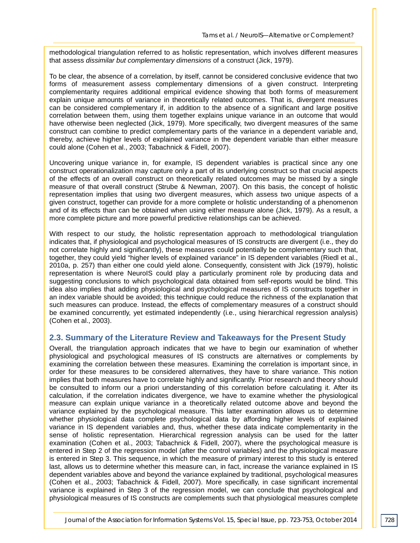methodological triangulation referred to as holistic representation, which involves different measures that assess *dissimilar but complementary dimensions* of a construct (Jick, 1979).

To be clear, the absence of a correlation, by itself, cannot be considered conclusive evidence that two forms of measurement assess complementary dimensions of a given construct. Interpreting complementarity requires additional empirical evidence showing that both forms of measurement explain unique amounts of variance in theoretically related outcomes. That is, divergent measures can be considered complementary if, in addition to the absence of a significant and large positive correlation between them, using them together explains unique variance in an outcome that would have otherwise been neglected (Jick, 1979). More specifically, two divergent measures of the same construct can combine to predict complementary parts of the variance in a dependent variable and, thereby, achieve higher levels of explained variance in the dependent variable than either measure could alone (Cohen et al., 2003; Tabachnick & Fidell, 2007).

Uncovering unique variance in, for example, IS dependent variables is practical since any one construct operationalization may capture only a part of its underlying construct so that crucial aspects of the effects of an overall construct on theoretically related outcomes may be missed by a single measure of that overall construct (Strube & Newman, 2007). On this basis, the concept of holistic representation implies that using two divergent measures, which assess two unique aspects of a given construct, together can provide for a more complete or holistic understanding of a phenomenon and of its effects than can be obtained when using either measure alone (Jick, 1979). As a result, a more complete picture and more powerful predictive relationships can be achieved.

With respect to our study, the holistic representation approach to methodological triangulation indicates that, if physiological and psychological measures of IS constructs are divergent (i.e., they do not correlate highly and significantly), these measures could potentially be complementary such that, together, they could yield "higher levels of explained variance" in IS dependent variables (Riedl et al., 2010a, p. 257) than either one could yield alone. Consequently, consistent with Jick (1979), holistic representation is where NeuroIS could play a particularly prominent role by producing data and suggesting conclusions to which psychological data obtained from self-reports would be blind. This idea also implies that adding physiological and psychological measures of IS constructs together in an index variable should be avoided; this technique could reduce the richness of the explanation that such measures can produce. Instead, the effects of complementary measures of a construct should be examined concurrently, yet estimated independently (i.e., using hierarchical regression analysis) (Cohen et al., 2003).

#### **2.3. Summary of the Literature Review and Takeaways for the Present Study**

Overall, the triangulation approach indicates that we have to begin our examination of whether physiological and psychological measures of IS constructs are alternatives or complements by examining the correlation between these measures. Examining the correlation is important since, in order for these measures to be considered alternatives, they have to share variance. This notion implies that both measures have to correlate highly and significantly. Prior research and theory should be consulted to inform our a priori understanding of this correlation before calculating it. After its calculation, if the correlation indicates divergence, we have to examine whether the physiological measure can explain unique variance in a theoretically related outcome above and beyond the variance explained by the psychological measure. This latter examination allows us to determine whether physiological data complete psychological data by affording higher levels of explained variance in IS dependent variables and, thus, whether these data indicate complementarity in the sense of holistic representation. Hierarchical regression analysis can be used for the latter examination (Cohen et al., 2003; Tabachnick & Fidell, 2007), where the psychological measure is entered in Step 2 of the regression model (after the control variables) and the physiological measure is entered in Step 3. This sequence, in which the measure of primary interest to this study is entered last, allows us to determine whether this measure can, in fact, increase the variance explained in IS dependent variables above and beyond the variance explained by traditional, psychological measures (Cohen et al., 2003; Tabachnick & Fidell, 2007). More specifically, in case significant incremental variance is explained in Step 3 of the regression model, we can conclude that psychological and physiological measures of IS constructs are complements such that physiological measures complete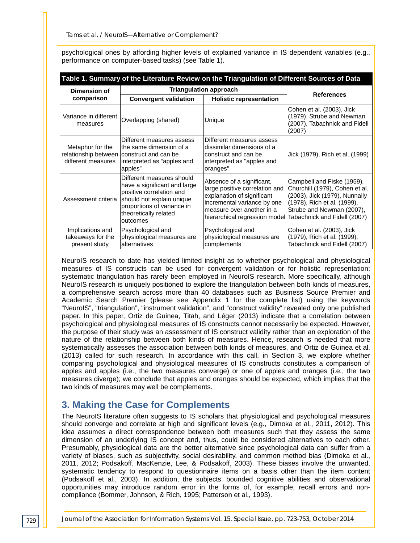| Table 1. Summary of the Literature Review on the Triangulation of Different Sources of Data |                                                                                                                                                                                       |                                                                                                                                                                                        |                                                                                                                                                                                           |  |  |  |  |
|---------------------------------------------------------------------------------------------|---------------------------------------------------------------------------------------------------------------------------------------------------------------------------------------|----------------------------------------------------------------------------------------------------------------------------------------------------------------------------------------|-------------------------------------------------------------------------------------------------------------------------------------------------------------------------------------------|--|--|--|--|
| <b>Dimension of</b><br>comparison                                                           | <b>Triangulation approach</b>                                                                                                                                                         |                                                                                                                                                                                        | <b>References</b>                                                                                                                                                                         |  |  |  |  |
|                                                                                             | <b>Convergent validation</b>                                                                                                                                                          | <b>Holistic representation</b>                                                                                                                                                         |                                                                                                                                                                                           |  |  |  |  |
| Variance in different<br>measures                                                           | Overlapping (shared)                                                                                                                                                                  | Unique                                                                                                                                                                                 | Cohen et al. (2003), Jick<br>(1979), Strube and Newman<br>(2007), Tabachnick and Fidell<br>(2007)                                                                                         |  |  |  |  |
| Metaphor for the<br>different measures                                                      | Different measures assess<br>the same dimension of a<br>relationship between construct and can be<br>interpreted as "apples and<br>apples"                                            | Different measures assess<br>dissimilar dimensions of a<br>construct and can be<br>interpreted as "apples and<br>oranges"                                                              | Jick (1979), Rich et al. (1999)                                                                                                                                                           |  |  |  |  |
| Assessment criteria                                                                         | Different measures should<br>have a significant and large<br>positive correlation and<br>should not explain unique<br>proportions of variance in<br>theoretically related<br>outcomes | Absence of a significant,<br>large positive correlation and<br>explanation of significant<br>incremental variance by one<br>measure over another in a<br>hierarchical regression model | Campbell and Fiske (1959),<br>Churchill (1979), Cohen et al.<br>(2003), Jick (1979), Nunnally<br>(1978), Rich et al. (1999),<br>Strube and Newman (2007),<br>Tabachnick and Fidell (2007) |  |  |  |  |
| Implications and<br>takeaways for the<br>present study                                      | Psychological and<br>physiological measures are<br>alternatives                                                                                                                       | Psychological and<br>physiological measures are<br>complements                                                                                                                         | Cohen et al. (2003), Jick<br>(1979), Rich et al. (1999),<br>Tabachnick and Fidell (2007)                                                                                                  |  |  |  |  |

psychological ones by affording higher levels of explained variance in IS dependent variables (e.g., performance on computer-based tasks) (see Table 1).

NeuroIS research to date has yielded limited insight as to whether psychological and physiological measures of IS constructs can be used for convergent validation or for holistic representation; systematic triangulation has rarely been employed in NeuroIS research. More specifically, although NeuroIS research is uniquely positioned to explore the triangulation between both kinds of measures, a comprehensive search across more than 40 databases such as Business Source Premier and Academic Search Premier (please see Appendix 1 for the complete list) using the keywords "NeuroIS", "triangulation", "instrument validation", and "construct validity" revealed only one published paper. In this paper, Ortiz de Guinea, Titah, and Léger (2013) indicate that a correlation between psychological and physiological measures of IS constructs cannot necessarily be expected. However, the purpose of their study was an assessment of IS construct validity rather than an exploration of the nature of the relationship between both kinds of measures. Hence, research is needed that more systematically assesses the association between both kinds of measures, and Ortiz de Guinea et al. (2013) called for such research. In accordance with this call, in Section 3, we explore whether comparing psychological and physiological measures of IS constructs constitutes a comparison of apples and apples (i.e., the two measures converge) or one of apples and oranges (i.e., the two measures diverge); we conclude that apples and oranges should be expected, which implies that the two kinds of measures may well be complements.

# **3. Making the Case for Complements**

The NeuroIS literature often suggests to IS scholars that physiological and psychological measures should converge and correlate at high and significant levels (e.g., Dimoka et al., 2011, 2012). This idea assumes a direct correspondence between both measures such that they assess the same dimension of an underlying IS concept and, thus, could be considered alternatives to each other. Presumably, physiological data are the better alternative since psychological data can suffer from a variety of biases, such as subjectivity, social desirability, and common method bias (Dimoka et al., 2011, 2012; Podsakoff, MacKenzie, Lee, & Podsakoff, 2003). These biases involve the unwanted, systematic tendency to respond to questionnaire items on a basis other than the item content (Podsakoff et al., 2003). In addition, the subjects' bounded cognitive abilities and observational opportunities may introduce random error in the forms of, for example, recall errors and noncompliance (Bommer, Johnson, & Rich, 1995; Patterson et al., 1993).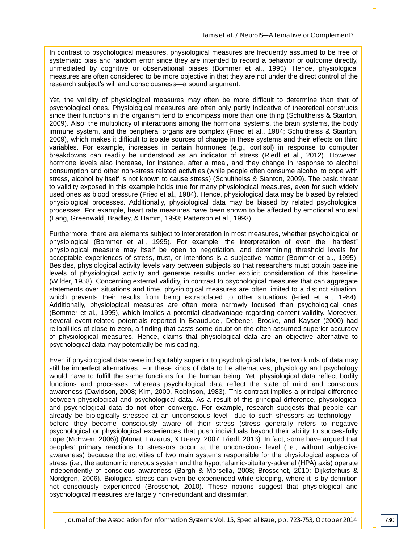In contrast to psychological measures, physiological measures are frequently assumed to be free of systematic bias and random error since they are intended to record a behavior or outcome directly, unmediated by cognitive or observational biases (Bommer et al., 1995). Hence, physiological measures are often considered to be more objective in that they are not under the direct control of the research subject's will and consciousness—a sound argument.

Yet, the validity of physiological measures may often be more difficult to determine than that of psychological ones. Physiological measures are often only partly indicative of theoretical constructs since their functions in the organism tend to encompass more than one thing (Schultheiss & Stanton, 2009). Also, the multiplicity of interactions among the hormonal systems, the brain systems, the body immune system, and the peripheral organs are complex (Fried et al., 1984; Schultheiss & Stanton, 2009), which makes it difficult to isolate sources of change in these systems and their effects on third variables. For example, increases in certain hormones (e.g., cortisol) in response to computer breakdowns can readily be understood as an indicator of stress (Riedl et al., 2012). However, hormone levels also increase, for instance, after a meal, and they change in response to alcohol consumption and other non-stress related activities (while people often consume alcohol to cope with stress, alcohol by itself is not known to cause stress) (Schultheiss & Stanton, 2009). The basic threat to validity exposed in this example holds true for many physiological measures, even for such widely used ones as blood pressure (Fried et al., 1984). Hence, physiological data may be biased by related physiological processes. Additionally, physiological data may be biased by related psychological processes. For example, heart rate measures have been shown to be affected by emotional arousal (Lang, Greenwald, Bradley, & Hamm, 1993; Patterson et al., 1993).

Furthermore, there are elements subject to interpretation in most measures, whether psychological or physiological (Bommer et al., 1995). For example, the interpretation of even the "hardest" physiological measure may itself be open to negotiation, and determining threshold levels for acceptable experiences of stress, trust, or intentions is a subjective matter (Bommer et al., 1995). Besides, physiological activity levels vary between subjects so that researchers must obtain baseline levels of physiological activity and generate results under explicit consideration of this baseline (Wilder, 1958). Concerning external validity, in contrast to psychological measures that can aggregate statements over situations and time, physiological measures are often limited to a distinct situation, which prevents their results from being extrapolated to other situations (Fried et al., 1984). Additionally, physiological measures are often more narrowly focused than psychological ones (Bommer et al., 1995), which implies a potential disadvantage regarding content validity. Moreover, several event-related potentials reported in Beauducel, Debener, Brocke, and Kayser (2000) had reliabilities of close to zero, a finding that casts some doubt on the often assumed superior accuracy of physiological measures. Hence, claims that physiological data are an objective alternative to psychological data may potentially be misleading.

Even if physiological data were indisputably superior to psychological data, the two kinds of data may still be imperfect alternatives. For these kinds of data to be alternatives, physiology and psychology would have to fulfill the same functions for the human being. Yet, physiological data reflect bodily functions and processes, whereas psychological data reflect the state of mind and conscious awareness (Davidson, 2008; Kim, 2000, Robinson, 1983). This contrast implies a principal difference between physiological and psychological data. As a result of this principal difference, physiological and psychological data do not often converge. For example, research suggests that people can already be biologically stressed at an unconscious level—due to such stressors as technology before they become consciously aware of their stress (stress generally refers to negative psychological or physiological experiences that push individuals beyond their ability to successfully cope (McEwen, 2006)) (Monat, Lazarus, & Reevy, 2007; Riedl, 2013). In fact, some have argued that peoples' primary reactions to stressors occur at the unconscious level (i.e., without subjective awareness) because the activities of two main systems responsible for the physiological aspects of stress (i.e., the autonomic nervous system and the hypothalamic-pituitary-adrenal (HPA) axis) operate independently of conscious awareness (Bargh & Morsella, 2008; Brosschot, 2010; Dijksterhuis & Nordgren, 2006). Biological stress can even be experienced while sleeping, where it is by definition not consciously experienced (Brosschot, 2010). These notions suggest that physiological and psychological measures are largely non-redundant and dissimilar.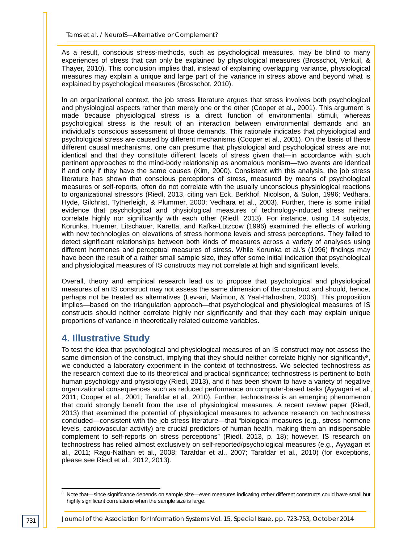As a result, conscious stress-methods, such as psychological measures, may be blind to many experiences of stress that can only be explained by physiological measures (Brosschot, Verkuil, & Thayer, 2010). This conclusion implies that, instead of explaining overlapping variance, physiological measures may explain a unique and large part of the variance in stress above and beyond what is explained by psychological measures (Brosschot, 2010).

In an organizational context, the job stress literature argues that stress involves both psychological and physiological aspects rather than merely one or the other (Cooper et al., 2001). This argument is made because physiological stress is a direct function of environmental stimuli, whereas psychological stress is the result of an interaction between environmental demands and an individual's conscious assessment of those demands. This rationale indicates that physiological and psychological stress are caused by different mechanisms (Cooper et al., 2001). On the basis of these different causal mechanisms, one can presume that physiological and psychological stress are not identical and that they constitute different facets of stress given that—in accordance with such pertinent approaches to the mind-body relationship as anomalous monism—two events are identical if and only if they have the same causes (Kim, 2000). Consistent with this analysis, the job stress literature has shown that conscious perceptions of stress, measured by means of psychological measures or self-reports, often do not correlate with the usually unconscious physiological reactions to organizational stressors (Riedl, 2013, citing van Eck, Berkhof, Nicolson, & Sulon, 1996; Vedhara, Hyde, Gilchrist, Tytherleigh, & Plummer, 2000; Vedhara et al., 2003). Further, there is some initial evidence that psychological and physiological measures of technology-induced stress neither correlate highly nor significantly with each other (Riedl, 2013). For instance, using 14 subjects, Korunka, Huemer, Litschauer, Karetta, and Kafka-Lützcow (1996) examined the effects of working with new technologies on elevations of stress hormone levels and stress perceptions. They failed to detect significant relationships between both kinds of measures across a variety of analyses using different hormones and perceptual measures of stress. While Korunka et al.'s (1996) findings may have been the result of a rather small sample size, they offer some initial indication that psychological and physiological measures of IS constructs may not correlate at high and significant levels.

Overall, theory and empirical research lead us to propose that psychological and physiological measures of an IS construct may not assess the same dimension of the construct and should, hence, perhaps not be treated as alternatives (Lev-ari, Maimon, & Yaal-Hahoshen, 2006). This proposition implies—based on the triangulation approach—that psychological and physiological measures of IS constructs should neither correlate highly nor significantly and that they each may explain unique proportions of variance in theoretically related outcome variables.

# **4. Illustrative Study**

To test the idea that psychological and physiological measures of an IS construct may not assess the same dimension of the construct, implying that they should neither correlate highly nor significantly<sup>8</sup>, we conducted a laboratory experiment in the context of technostress. We selected technostress as the research context due to its theoretical and practical significance; technostress is pertinent to both human psychology and physiology (Riedl, 2013), and it has been shown to have a variety of negative organizational consequences such as reduced performance on computer-based tasks (Ayyagari et al., 2011; Cooper et al., 2001; Tarafdar et al., 2010). Further, technostress is an emerging phenomenon that could strongly benefit from the use of physiological measures. A recent review paper (Riedl, 2013) that examined the potential of physiological measures to advance research on technostress concluded—consistent with the job stress literature—that "biological measures (e.g., stress hormone levels, cardiovascular activity) are crucial predictors of human health, making them an indispensable complement to self-reports on stress perceptions" (Riedl, 2013, p. 18); however, IS research on technostress has relied almost exclusively on self-reported/psychological measures (e.g., Ayyagari et al., 2011; Ragu-Nathan et al., 2008; Tarafdar et al., 2007; Tarafdar et al., 2010) (for exceptions, please see Riedl et al., 2012, 2013).

<sup>&</sup>lt;sup>8</sup> Note that—since significance depends on sample size—even measures indicating rather different constructs could have small but highly significant correlations when the sample size is large. -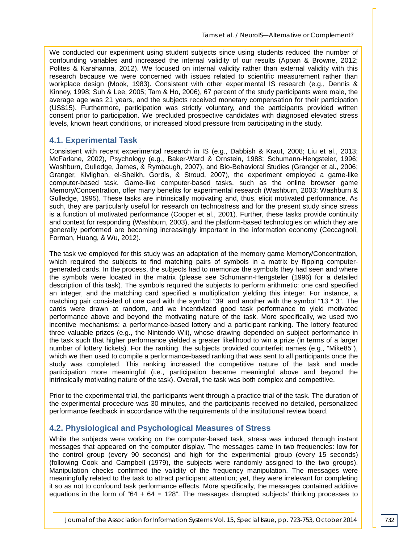We conducted our experiment using student subjects since using students reduced the number of confounding variables and increased the internal validity of our results (Appan & Browne, 2012; Polites & Karahanna, 2012). We focused on internal validity rather than external validity with this research because we were concerned with issues related to scientific measurement rather than workplace design (Mook, 1983). Consistent with other experimental IS research (e.g., Dennis & Kinney, 1998; Suh & Lee, 2005; Tam & Ho, 2006), 67 percent of the study participants were male, the average age was 21 years, and the subjects received monetary compensation for their participation (US\$15). Furthermore, participation was strictly voluntary, and the participants provided written consent prior to participation. We precluded prospective candidates with diagnosed elevated stress levels, known heart conditions, or increased blood pressure from participating in the study.

#### **4.1. Experimental Task**

Consistent with recent experimental research in IS (e.g., Dabbish & Kraut, 2008; Liu et al., 2013; McFarlane, 2002), Psychology (e.g., Baker-Ward & Ornstein, 1988; Schumann-Hengsteler, 1996; Washburn, Gulledge, James, & Rymbaugh, 2007), and Bio-Behavioral Studies (Granger et al., 2006; Granger, Kivlighan, el-Sheikh, Gordis, & Stroud, 2007), the experiment employed a game-like computer-based task. Game-like computer-based tasks, such as the online browser game Memory/Concentration, offer many benefits for experimental research (Washburn, 2003; Washburn & Gulledge, 1995). These tasks are intrinsically motivating and, thus, elicit motivated performance. As such, they are particularly useful for research on technostress and for the present study since stress is a function of motivated performance (Cooper et al., 2001). Further, these tasks provide continuity and context for responding (Washburn, 2003), and the platform-based technologies on which they are generally performed are becoming increasingly important in the information economy (Ceccagnoli, Forman, Huang, & Wu, 2012).

The task we employed for this study was an adaptation of the memory game Memory/Concentration, which required the subjects to find matching pairs of symbols in a matrix by flipping computergenerated cards. In the process, the subjects had to memorize the symbols they had seen and where the symbols were located in the matrix (please see Schumann-Hengsteler (1996) for a detailed description of this task). The symbols required the subjects to perform arithmetic: one card specified an integer, and the matching card specified a multiplication yielding this integer. For instance, a matching pair consisted of one card with the symbol "39" and another with the symbol "13 \* 3". The cards were drawn at random, and we incentivized good task performance to yield motivated performance above and beyond the motivating nature of the task. More specifically, we used two incentive mechanisms: a performance-based lottery and a participant ranking. The lottery featured three valuable prizes (e.g., the Nintendo Wii), whose drawing depended on subject performance in the task such that higher performance yielded a greater likelihood to win a prize (in terms of a larger number of lottery tickets). For the ranking, the subjects provided counterfeit names (e.g., "Mike85"), which we then used to compile a performance-based ranking that was sent to all participants once the study was completed. This ranking increased the competitive nature of the task and made participation more meaningful (i.e., participation became meaningful above and beyond the intrinsically motivating nature of the task). Overall, the task was both complex and competitive.

Prior to the experimental trial, the participants went through a practice trial of the task. The duration of the experimental procedure was 30 minutes, and the participants received no detailed, personalized performance feedback in accordance with the requirements of the institutional review board.

#### **4.2. Physiological and Psychological Measures of Stress**

While the subjects were working on the computer-based task, stress was induced through instant messages that appeared on the computer display. The messages came in two frequencies: low for the control group (every 90 seconds) and high for the experimental group (every 15 seconds) (following Cook and Campbell (1979), the subjects were randomly assigned to the two groups). Manipulation checks confirmed the validity of the frequency manipulation. The messages were meaningfully related to the task to attract participant attention; yet, they were irrelevant for completing it so as not to confound task performance effects. More specifically, the messages contained additive equations in the form of " $64 + 64 = 128$ ". The messages disrupted subjects' thinking processes to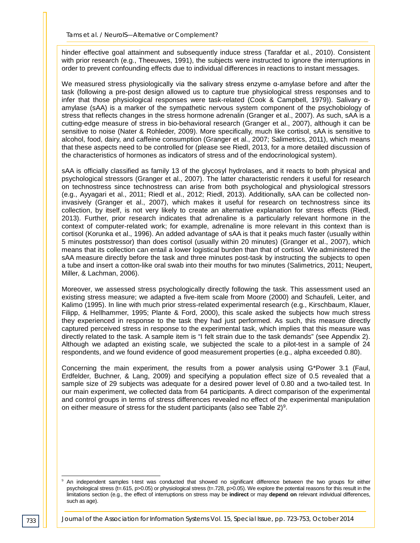hinder effective goal attainment and subsequently induce stress (Tarafdar et al., 2010). Consistent with prior research (e.g., Theeuwes, 1991), the subjects were instructed to ignore the interruptions in order to prevent confounding effects due to individual differences in reactions to instant messages.

We measured stress physiologically via the salivary stress enzyme  $α$ -amylase before and after the task (following a pre-post design allowed us to capture true physiological stress responses and to infer that those physiological responses were task-related (Cook & Campbell, 1979)). Salivary αamylase (sAA) is a marker of the sympathetic nervous system component of the psychobiology of stress that reflects changes in the stress hormone adrenalin (Granger et al., 2007). As such, sAA is a cutting-edge measure of stress in bio-behavioral research (Granger et al., 2007), although it can be sensitive to noise (Nater & Rohleder, 2009). More specifically, much like cortisol, sAA is sensitive to alcohol, food, dairy, and caffeine consumption (Granger et al., 2007; Salimetrics, 2011), which means that these aspects need to be controlled for (please see Riedl, 2013, for a more detailed discussion of the characteristics of hormones as indicators of stress and of the endocrinological system).

sAA is officially classified as family 13 of the glycosyl hydrolases, and it reacts to both physical and psychological stressors (Granger et al., 2007). The latter characteristic renders it useful for research on technostress since technostress can arise from both psychological and physiological stressors (e.g., Ayyagari et al., 2011; Riedl et al., 2012; Riedl, 2013). Additionally, sAA can be collected noninvasively (Granger et al., 2007), which makes it useful for research on technostress since its collection, by itself, is not very likely to create an alternative explanation for stress effects (Riedl, 2013). Further, prior research indicates that adrenaline is a particularly relevant hormone in the context of computer-related work; for example, adrenaline is more relevant in this context than is cortisol (Korunka et al., 1996). An added advantage of sAA is that it peaks much faster (usually within 5 minutes poststressor) than does cortisol (usually within 20 minutes) (Granger et al., 2007), which means that its collection can entail a lower logistical burden than that of cortisol. We administered the sAA measure directly before the task and three minutes post-task by instructing the subjects to open a tube and insert a cotton-like oral swab into their mouths for two minutes (Salimetrics, 2011; Neupert, Miller, & Lachman, 2006).

Moreover, we assessed stress psychologically directly following the task. This assessment used an existing stress measure; we adapted a five-item scale from Moore (2000) and Schaufeli, Leiter, and Kalimo (1995). In line with much prior stress-related experimental research (e.g., Kirschbaum, Klauer, Filipp, & Hellhammer, 1995; Plante & Ford, 2000), this scale asked the subjects how much stress they experienced in response to the task they had just performed. As such, this measure directly captured perceived stress in response to the experimental task, which implies that this measure was directly related to the task. A sample item is "I felt strain due to the task demands" (see Appendix 2). Although we adapted an existing scale, we subjected the scale to a pilot-test in a sample of 24 respondents, and we found evidence of good measurement properties (e.g., alpha exceeded 0.80).

Concerning the main experiment, the results from a power analysis using G\*Power 3.1 (Faul, Erdfelder, Buchner, & Lang, 2009) and specifying a population effect size of 0.5 revealed that a sample size of 29 subjects was adequate for a desired power level of 0.80 and a two-tailed test. In our main experiment, we collected data from 64 participants. A direct comparison of the experimental and control groups in terms of stress differences revealed no effect of the experimental manipulation on either measure of stress for the student participants (also see Table  $2)^9$ .

An independent samples t-test was conducted that showed no significant difference between the two groups for either psychological stress (t=.615, p>0.05) or physiological stress (t=.728, p>0.05). We explore the potential reasons for this result in the limitations section (e.g., the effect of interruptions on stress may be **indirect** or may **depend on** relevant individual differences, such as age). -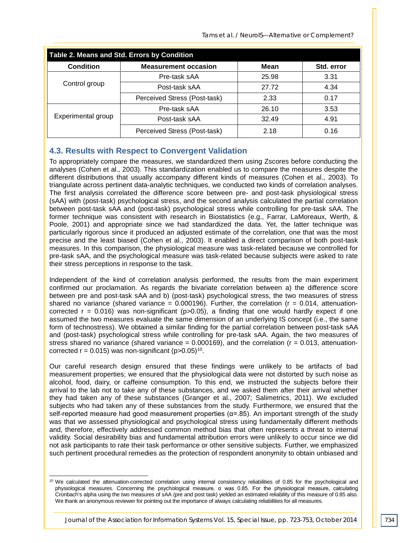*Tams et al. / NeuroIS—Alternative or Complement?*

| Table 2. Means and Std. Errors by Condition |                              |       |            |  |  |  |
|---------------------------------------------|------------------------------|-------|------------|--|--|--|
| <b>Condition</b>                            | <b>Measurement occasion</b>  | Mean  | Std. error |  |  |  |
| Control group                               | Pre-task sAA                 | 25.98 | 3.31       |  |  |  |
|                                             | Post-task sAA                | 27.72 | 4.34       |  |  |  |
|                                             | Perceived Stress (Post-task) | 2.33  | 0.17       |  |  |  |
| Experimental group                          | Pre-task sAA                 | 26.10 | 3.53       |  |  |  |
|                                             | Post-task sAA                | 32.49 | 4.91       |  |  |  |
|                                             | Perceived Stress (Post-task) | 2.18  | 0.16       |  |  |  |

#### **4.3. Results with Respect to Convergent Validation**

To appropriately compare the measures, we standardized them using Zscores before conducting the analyses (Cohen et al., 2003). This standardization enabled us to compare the measures despite the different distributions that usually accompany different kinds of measures (Cohen et al., 2003). To triangulate across pertinent data-analytic techniques, we conducted two kinds of correlation analyses. The first analysis correlated the difference score between pre- and post-task physiological stress (sAA) with (post-task) psychological stress, and the second analysis calculated the partial correlation between post-task sAA and (post-task) psychological stress while controlling for pre-task sAA. The former technique was consistent with research in Biostatistics (e.g., Farrar, LaMoreaux, Werth, & Poole, 2001) and appropriate since we had standardized the data. Yet, the latter technique was particularly rigorous since it produced an adjusted estimate of the correlation, one that was the most precise and the least biased (Cohen et al., 2003). It enabled a direct comparison of both post-task measures. In this comparison, the physiological measure was task-related because we controlled for pre-task sAA, and the psychological measure was task-related because subjects were asked to rate their stress perceptions in response to the task.

Independent of the kind of correlation analysis performed, the results from the main experiment confirmed our proclamation. As regards the bivariate correlation between a) the difference score between pre and post-task sAA and b) (post-task) psychological stress, the two measures of stress shared no variance (shared variance =  $0.000196$ ). Further, the correlation ( $r = 0.014$ , attenuationcorrected  $r = 0.016$ ) was non-significant ( $p > 0.05$ ), a finding that one would hardly expect if one assumed the two measures evaluate the same dimension of an underlying IS concept (i.e., the same form of technostress). We obtained a similar finding for the partial correlation between post-task sAA and (post-task) psychological stress while controlling for pre-task sAA. Again, the two measures of stress shared no variance (shared variance =  $0.000169$ ), and the correlation ( $r = 0.013$ , attenuationcorrected  $r = 0.015$ ) was non-significant (p> $0.05$ )<sup>10</sup>.

Our careful research design ensured that these findings were unlikely to be artifacts of bad measurement properties; we ensured that the physiological data were not distorted by such noise as alcohol, food, dairy, or caffeine consumption. To this end, we instructed the subjects before their arrival to the lab not to take any of these substances, and we asked them after their arrival whether they had taken any of these substances (Granger et al., 2007; Salimetrics, 2011). We excluded subjects who had taken any of these substances from the study. Furthermore, we ensured that the self-reported measure had good measurement properties ( $\alpha$ =.85). An important strength of the study was that we assessed physiological and psychological stress using fundamentally different methods and, therefore, effectively addressed common method bias that often represents a threat to internal validity. Social desirability bias and fundamental attribution errors were unlikely to occur since we did not ask participants to rate their task performance or other sensitive subjects. Further, we emphasized such pertinent procedural remedies as the protection of respondent anonymity to obtain unbiased and

<sup>&</sup>lt;sup>10</sup> We calculated the attenuation-corrected correlation using internal consistency reliabilities of 0.85 for the psychological and physiological measures. Concerning the psychological measure, α was 0.85. For the physiological measure, calculating Cronbach's alpha using the two measures of sAA (pre and post task) yielded an estimated reliability of this measure of 0.85 also. We thank an anonymous reviewer for pointing out the importance of always calculating reliabilities for all measures. -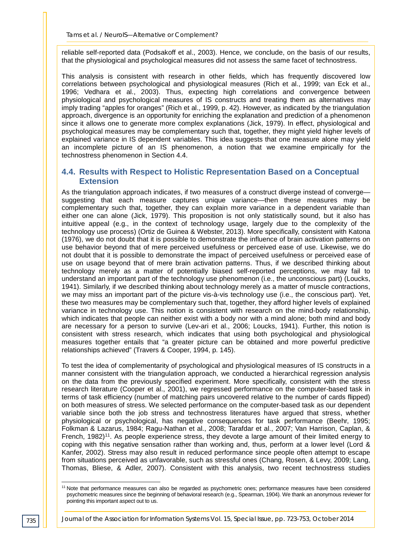reliable self-reported data (Podsakoff et al., 2003). Hence, we conclude, on the basis of our results, that the physiological and psychological measures did not assess the same facet of technostress.

This analysis is consistent with research in other fields, which has frequently discovered low correlations between psychological and physiological measures (Rich et al., 1999; van Eck et al., 1996; Vedhara et al., 2003). Thus, expecting high correlations and convergence between physiological and psychological measures of IS constructs and treating them as alternatives may imply trading "apples for oranges" (Rich et al., 1999, p. 42). However, as indicated by the triangulation approach, divergence is an opportunity for enriching the explanation and prediction of a phenomenon since it allows one to generate more complex explanations (Jick, 1979). In effect, physiological and psychological measures may be complementary such that, together, they might yield higher levels of explained variance in IS dependent variables. This idea suggests that one measure alone may yield an incomplete picture of an IS phenomenon, a notion that we examine empirically for the technostress phenomenon in Section 4.4.

#### **4.4. Results with Respect to Holistic Representation Based on a Conceptual Extension**

As the triangulation approach indicates, if two measures of a construct diverge instead of converge suggesting that each measure captures unique variance—then these measures may be complementary such that, together, they can explain more variance in a dependent variable than either one can alone (Jick, 1979). This proposition is not only statistically sound, but it also has intuitive appeal (e.g., in the context of technology usage, largely due to the complexity of the technology use process) (Ortiz de Guinea & Webster, 2013). More specifically, consistent with Katona (1976), we do not doubt that it is possible to demonstrate the influence of brain activation patterns on use behavior beyond that of mere perceived usefulness or perceived ease of use. Likewise, we do not doubt that it is possible to demonstrate the impact of perceived usefulness or perceived ease of use on usage beyond that of mere brain activation patterns. Thus, if we described thinking about technology merely as a matter of potentially biased self-reported perceptions, we may fail to understand an important part of the technology use phenomenon (i.e., the unconscious part) (Loucks, 1941). Similarly, if we described thinking about technology merely as a matter of muscle contractions, we may miss an important part of the picture vis-à-vis technology use (i.e., the conscious part). Yet, these two measures may be complementary such that, together, they afford higher levels of explained variance in technology use. This notion is consistent with research on the mind-body relationship, which indicates that people can neither exist with a body nor with a mind alone; both mind and body are necessary for a person to survive (Lev-ari et al., 2006; Loucks, 1941). Further, this notion is consistent with stress research, which indicates that using both psychological and physiological measures together entails that "a greater picture can be obtained and more powerful predictive relationships achieved" (Travers & Cooper, 1994, p. 145).

To test the idea of complementarity of psychological and physiological measures of IS constructs in a manner consistent with the triangulation approach, we conducted a hierarchical regression analysis on the data from the previously specified experiment. More specifically, consistent with the stress research literature (Cooper et al., 2001), we regressed performance on the computer-based task in terms of task efficiency (number of matching pairs uncovered relative to the number of cards flipped) on both measures of stress. We selected performance on the computer-based task as our dependent variable since both the job stress and technostress literatures have argued that stress, whether physiological or psychological, has negative consequences for task performance (Beehr, 1995; Folkman & Lazarus, 1984; Ragu-Nathan et al., 2008; Tarafdar et al., 2007; Van Harrison, Caplan, & French, 1982)<sup>11</sup>. As people experience stress, they devote a large amount of their limited energy to coping with this negative sensation rather than working and, thus, perform at a lower level (Lord & Kanfer, 2002). Stress may also result in reduced performance since people often attempt to escape from situations perceived as unfavorable, such as stressful ones (Chang, Rosen, & Levy, 2009; Lang, Thomas, Bliese, & Adler, 2007). Consistent with this analysis, two recent technostress studies

<sup>&</sup>lt;sup>11</sup> Note that performance measures can also be regarded as psychometric ones; performance measures have been considered psychometric measures since the beginning of behavioral research (e.g., Spearman, 1904). We thank an anonymous reviewer for pointing this important aspect out to us. j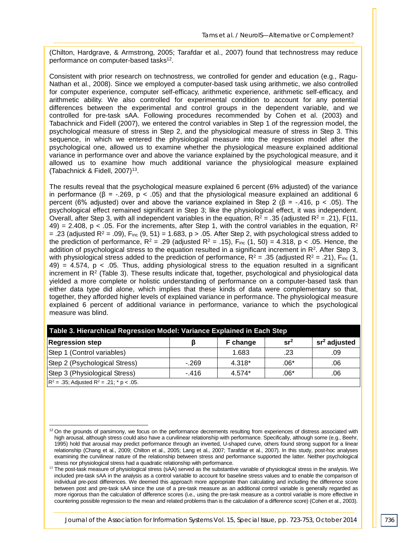(Chilton, Hardgrave, & Armstrong, 2005; Tarafdar et al., 2007) found that technostress may reduce performance on computer-based tasks<sup>12</sup>.

Consistent with prior research on technostress, we controlled for gender and education (e.g., Ragu-Nathan et al., 2008). Since we employed a computer-based task using arithmetic, we also controlled for computer experience, computer self-efficacy, arithmetic experience, arithmetic self-efficacy, and arithmetic ability. We also controlled for experimental condition to account for any potential differences between the experimental and control groups in the dependent variable, and we controlled for pre-task sAA. Following procedures recommended by Cohen et al. (2003) and Tabachnick and Fidell (2007), we entered the control variables in Step 1 of the regression model, the psychological measure of stress in Step 2, and the physiological measure of stress in Step 3. This sequence, in which we entered the physiological measure into the regression model after the psychological one, allowed us to examine whether the physiological measure explained additional variance in performance over and above the variance explained by the psychological measure, and it allowed us to examine how much additional variance the physiological measure explained (Tabachnick & Fidell, 2007)13.

The results reveal that the psychological measure explained 6 percent (6% adjusted) of the variance in performance ( $\beta$  = -.269, p < .05) and that the physiological measure explained an additional 6 percent (6% adjusted) over and above the variance explained in Step 2 ( $\beta$  = -.416, p < .05). The psychological effect remained significant in Step 3; like the physiological effect, it was independent. Overall, after Step 3, with all independent variables in the equation,  $R^2 = .35$  (adjusted  $R^2 = .21$ ),  $F(11, 11)$ 49) = 2.408, p < .05. For the increments, after Step 1, with the control variables in the equation,  $R^2$ = .23 (adjusted  $R^2$  = .09),  $F_{inc}$  (9, 51) = 1.683, p > .05. After Step 2, with psychological stress added to the prediction of performance,  $R^2 = .29$  (adjusted  $R^2 = .15$ ), Finc (1, 50) = 4.318, p < .05. Hence, the addition of psychological stress to the equation resulted in a significant increment in  $R<sup>2</sup>$ . After Step 3, with physiological stress added to the prediction of performance,  $R^2 = .35$  (adjusted  $R^2 = .21$ ), Finc (1,  $49$ ) = 4.574, p < .05. Thus, adding physiological stress to the equation resulted in a significant increment in  $R<sup>2</sup>$  (Table 3). These results indicate that, together, psychological and physiological data yielded a more complete or holistic understanding of performance on a computer-based task than either data type did alone, which implies that these kinds of data were complementary so that, together, they afforded higher levels of explained variance in performance. The physiological measure explained 6 percent of additional variance in performance, variance to which the psychological measure was blind.

| Table 3. Hierarchical Regression Model: Variance Explained in Each Step |        |          |                 |                          |  |  |  |
|-------------------------------------------------------------------------|--------|----------|-----------------|--------------------------|--|--|--|
| <b>Regression step</b>                                                  |        | F change | sr <sup>2</sup> | sr <sup>2</sup> adjusted |  |  |  |
| Step 1 (Control variables)                                              |        | 1.683    | .23             | .09                      |  |  |  |
| Step 2 (Psychological Stress)                                           | $-269$ | 4.318*   | $.06*$          | .06                      |  |  |  |
| Step 3 (Physiological Stress)                                           | $-416$ | 4.574*   | $.06*$          | .06                      |  |  |  |
| $R^2$ = .35; Adjusted R <sup>2</sup> = .21; * p < .05.                  |        |          |                 |                          |  |  |  |

-

 $12$  On the grounds of parsimony, we focus on the performance decrements resulting from experiences of distress associated with high arousal, although stress could also have a curvilinear relationship with performance. Specifically, although some (e.g., Beehr, 1995) hold that arousal may predict performance through an inverted, U-shaped curve, others found strong support for a linear relationship (Chang et al., 2009; Chilton et al., 2005; Lang et al., 2007; Tarafdar et al., 2007). In this study, post-hoc analyses examining the curvilinear nature of the relationship between stress and performance supported the latter. Neither psychological stress nor physiological stress had a quadratic relationship with performance.

<sup>13</sup> The post-task measure of physiological stress (sAA) served as the substantive variable of physiological stress in the analysis. We included pre-task sAA in the analysis as a control variable to account for baseline stress values and to enable the comparison of individual pre‐post differences. We deemed this approach more appropriate than calculating and including the difference score between post and pre-task sAA since the use of a pre-task measure as an additional control variable is generally regarded as more rigorous than the calculation of difference scores (i.e., using the pre-task measure as a control variable is more effective in countering possible regression to the mean and related problems than is the calculation of a difference score) (Cohen et al., 2003).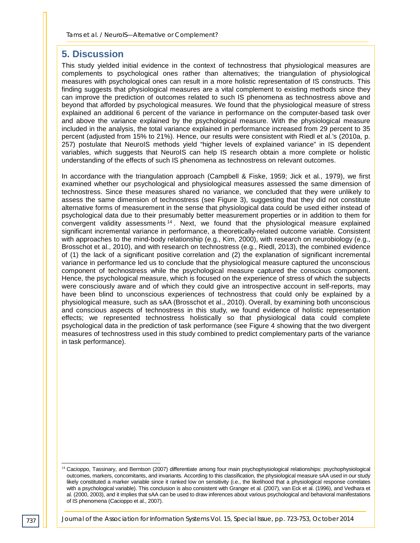# **5. Discussion**

This study yielded initial evidence in the context of technostress that physiological measures are complements to psychological ones rather than alternatives; the triangulation of physiological measures with psychological ones can result in a more holistic representation of IS constructs. This finding suggests that physiological measures are a vital complement to existing methods since they can improve the prediction of outcomes related to such IS phenomena as technostress above and beyond that afforded by psychological measures. We found that the physiological measure of stress explained an additional 6 percent of the variance in performance on the computer-based task over and above the variance explained by the psychological measure. With the physiological measure included in the analysis, the total variance explained in performance increased from 29 percent to 35 percent (adjusted from 15% to 21%). Hence, our results were consistent with Riedl et al.'s (2010a, p. 257) postulate that NeuroIS methods yield "higher levels of explained variance" in IS dependent variables, which suggests that NeuroIS can help IS research obtain a more complete or holistic understanding of the effects of such IS phenomena as technostress on relevant outcomes.

In accordance with the triangulation approach (Campbell & Fiske, 1959; Jick et al., 1979), we first examined whether our psychological and physiological measures assessed the same dimension of technostress. Since these measures shared no variance, we concluded that they were unlikely to assess the same dimension of technostress (see Figure 3), suggesting that they did not constitute alternative forms of measurement in the sense that physiological data could be used either instead of psychological data due to their presumably better measurement properties or in addition to them for convergent validity assessments <sup>14</sup> . Next, we found that the physiological measure explained significant incremental variance in performance, a theoretically-related outcome variable. Consistent with approaches to the mind-body relationship (e.g., Kim, 2000), with research on neurobiology (e.g., Brosschot et al., 2010), and with research on technostress (e.g., Riedl, 2013), the combined evidence of (1) the lack of a significant positive correlation and (2) the explanation of significant incremental variance in performance led us to conclude that the physiological measure captured the unconscious component of technostress while the psychological measure captured the conscious component. Hence, the psychological measure, which is focused on the experience of stress of which the subjects were consciously aware and of which they could give an introspective account in self-reports, may have been blind to unconscious experiences of technostress that could only be explained by a physiological measure, such as sAA (Brosschot et al., 2010). Overall, by examining both unconscious and conscious aspects of technostress in this study, we found evidence of holistic representation effects; we represented technostress holistically so that physiological data could complete psychological data in the prediction of task performance (see Figure 4 showing that the two divergent measures of technostress used in this study combined to predict complementary parts of the variance in task performance).

<sup>&</sup>lt;sup>14</sup> Cacioppo, Tassinary, and Berntson (2007) differentiate among four main psychophysiological relationships: psychophysiological outcomes, markers, concomitants, and invariants. According to this classification, the physiological measure sAA used in our study likely constituted a marker variable since it ranked low on sensitivity (i.e., the likelihood that a physiological response correlates with a psychological variable). This conclusion is also consistent with Granger et al. (2007), van Eck et al. (1996), and Vedhara et al. (2000, 2003), and it implies that sAA can be used to draw inferences about various psychological and behavioral manifestations of IS phenomena (Cacioppo et al., 2007). j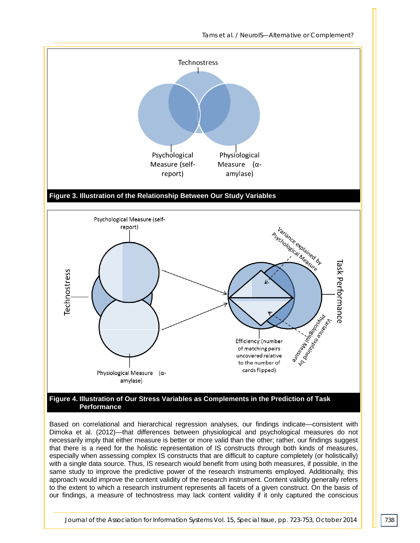*Tams et al. / NeuroIS—Alternative or Complement?*



**Performance**

Based on correlational and hierarchical regression analyses, our findings indicate—consistent with Dimoka et al. (2012)—that differences between physiological and psychological measures do not necessarily imply that either measure is better or more valid than the other; rather, our findings suggest that there is a need for the holistic representation of IS constructs through both kinds of measures, especially when assessing complex IS constructs that are difficult to capture completely (or holistically) with a single data source. Thus, IS research would benefit from using both measures, if possible, in the same study to improve the predictive power of the research instruments employed. Additionally, this approach would improve the content validity of the research instrument. Content validity generally refers to the extent to which a research instrument represents all facets of a given construct. On the basis of our findings, a measure of technostress may lack content validity if it only captured the conscious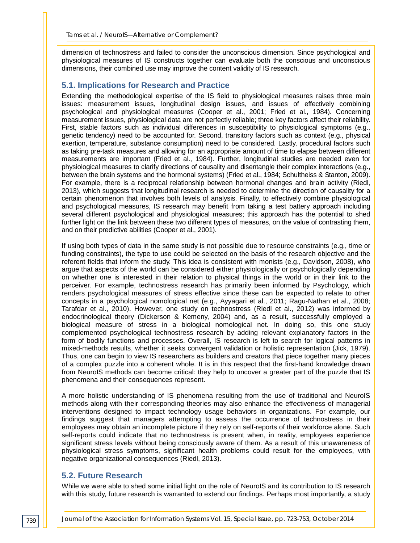dimension of technostress and failed to consider the unconscious dimension. Since psychological and physiological measures of IS constructs together can evaluate both the conscious and unconscious dimensions, their combined use may improve the content validity of IS research.

#### **5.1. Implications for Research and Practice**

Extending the methodological expertise of the IS field to physiological measures raises three main issues: measurement issues, longitudinal design issues, and issues of effectively combining psychological and physiological measures (Cooper et al., 2001; Fried et al., 1984). Concerning measurement issues, physiological data are not perfectly reliable; three key factors affect their reliability. First, stable factors such as individual differences in susceptibility to physiological symptoms (e.g., genetic tendency) need to be accounted for. Second, transitory factors such as context (e.g., physical exertion, temperature, substance consumption) need to be considered. Lastly, procedural factors such as taking pre-task measures and allowing for an appropriate amount of time to elapse between different measurements are important (Fried et al., 1984). Further, longitudinal studies are needed even for physiological measures to clarify directions of causality and disentangle their complex interactions (e.g., between the brain systems and the hormonal systems) (Fried et al., 1984; Schultheiss & Stanton, 2009). For example, there is a reciprocal relationship between hormonal changes and brain activity (Riedl, 2013), which suggests that longitudinal research is needed to determine the direction of causality for a certain phenomenon that involves both levels of analysis. Finally, to effectively combine physiological and psychological measures, IS research may benefit from taking a test battery approach including several different psychological and physiological measures; this approach has the potential to shed further light on the link between these two different types of measures, on the value of contrasting them, and on their predictive abilities (Cooper et al., 2001).

If using both types of data in the same study is not possible due to resource constraints (e.g., time or funding constraints), the type to use could be selected on the basis of the research objective and the referent fields that inform the study. This idea is consistent with monists (e.g., Davidson, 2008), who argue that aspects of the world can be considered either physiologically or psychologically depending on whether one is interested in their relation to physical things in the world or in their link to the perceiver. For example, technostress research has primarily been informed by Psychology, which renders psychological measures of stress effective since these can be expected to relate to other concepts in a psychological nomological net (e.g., Ayyagari et al., 2011; Ragu-Nathan et al., 2008; Tarafdar et al., 2010). However, one study on technostress (Riedl et al., 2012) was informed by endocrinological theory (Dickerson & Kemeny, 2004) and, as a result, successfully employed a biological measure of stress in a biological nomological net. In doing so, this one study complemented psychological technostress research by adding relevant explanatory factors in the form of bodily functions and processes. Overall, IS research is left to search for logical patterns in mixed-methods results, whether it seeks convergent validation or holistic representation (Jick, 1979). Thus, one can begin to view IS researchers as builders and creators that piece together many pieces of a complex puzzle into a coherent whole. It is in this respect that the first-hand knowledge drawn from NeuroIS methods can become critical: they help to uncover a greater part of the puzzle that IS phenomena and their consequences represent.

A more holistic understanding of IS phenomena resulting from the use of traditional and NeuroIS methods along with their corresponding theories may also enhance the effectiveness of managerial interventions designed to impact technology usage behaviors in organizations. For example, our findings suggest that managers attempting to assess the occurrence of technostress in their employees may obtain an incomplete picture if they rely on self-reports of their workforce alone. Such self-reports could indicate that no technostress is present when, in reality, employees experience significant stress levels without being consciously aware of them. As a result of this unawareness of physiological stress symptoms, significant health problems could result for the employees, with negative organizational consequences (Riedl, 2013).

#### **5.2. Future Research**

While we were able to shed some initial light on the role of NeuroIS and its contribution to IS research with this study, future research is warranted to extend our findings. Perhaps most importantly, a study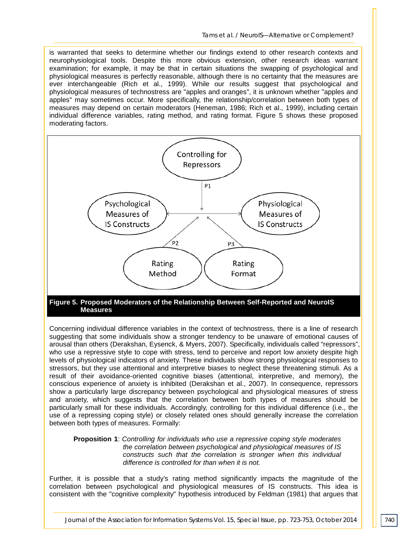is warranted that seeks to determine whether our findings extend to other research contexts and neurophysiological tools. Despite this more obvious extension, other research ideas warrant examination; for example, it may be that in certain situations the swapping of psychological and physiological measures is perfectly reasonable, although there is no certainty that the measures are ever interchangeable (Rich et al., 1999). While our results suggest that psychological and physiological measures of technostress are "apples and oranges", it is unknown whether "apples and apples" may sometimes occur. More specifically, the relationship/correlation between both types of measures may depend on certain moderators (Heneman, 1986; Rich et al., 1999), including certain individual difference variables, rating method, and rating format. Figure 5 shows these proposed moderating factors.



#### **Figure 5. Proposed Moderators of the Relationship Between Self-Reported and NeuroIS Measures**

Concerning individual difference variables in the context of technostress, there is a line of research suggesting that some individuals show a stronger tendency to be unaware of emotional causes of arousal than others (Derakshan, Eysenck, & Myers, 2007). Specifically, individuals called "repressors", who use a repressive style to cope with stress, tend to perceive and report low anxiety despite high levels of physiological indicators of anxiety. These individuals show strong physiological responses to stressors, but they use attentional and interpretive biases to neglect these threatening stimuli. As a result of their avoidance-oriented cognitive biases (attentional, interpretive, and memory), the conscious experience of anxiety is inhibited (Derakshan et al., 2007). In consequence, repressors show a particularly large discrepancy between psychological and physiological measures of stress and anxiety, which suggests that the correlation between both types of measures should be particularly small for these individuals. Accordingly, controlling for this individual difference (i.e., the use of a repressing coping style) or closely related ones should generally increase the correlation between both types of measures. Formally:

#### **Proposition 1**: *Controlling for individuals who use a repressive coping style moderates the correlation between psychological and physiological measures of IS constructs such that the correlation is stronger when this individual difference is controlled for than when it is not.*

Further, it is possible that a study's rating method significantly impacts the magnitude of the correlation between psychological and physiological measures of IS constructs. This idea is consistent with the "cognitive complexity" hypothesis introduced by Feldman (1981) that argues that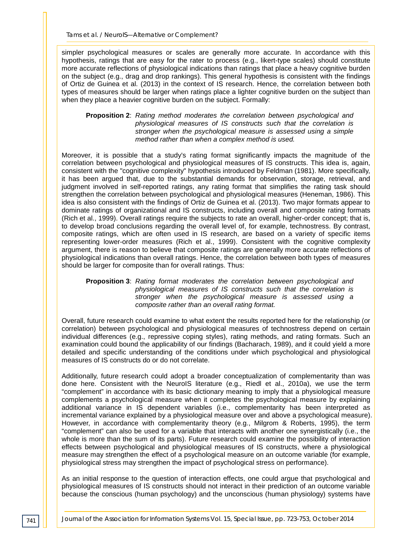simpler psychological measures or scales are generally more accurate. In accordance with this hypothesis, ratings that are easy for the rater to process (e.g., likert-type scales) should constitute more accurate reflections of physiological indications than ratings that place a heavy cognitive burden on the subject (e.g., drag and drop rankings). This general hypothesis is consistent with the findings of Ortiz de Guinea et al. (2013) in the context of IS research. Hence, the correlation between both types of measures should be larger when ratings place a lighter cognitive burden on the subject than when they place a heavier cognitive burden on the subject. Formally:

#### **Proposition 2**: *Rating method moderates the correlation between psychological and physiological measures of IS constructs such that the correlation is stronger when the psychological measure is assessed using a simple method rather than when a complex method is used.*

Moreover, it is possible that a study's rating format significantly impacts the magnitude of the correlation between psychological and physiological measures of IS constructs. This idea is, again, consistent with the "cognitive complexity" hypothesis introduced by Feldman (1981). More specifically, it has been argued that, due to the substantial demands for observation, storage, retrieval, and judgment involved in self-reported ratings, any rating format that simplifies the rating task should strengthen the correlation between psychological and physiological measures (Heneman, 1986). This idea is also consistent with the findings of Ortiz de Guinea et al. (2013). Two major formats appear to dominate ratings of organizational and IS constructs, including overall and composite rating formats (Rich et al., 1999). Overall ratings require the subjects to rate an overall, higher-order concept; that is, to develop broad conclusions regarding the overall level of, for example, technostress. By contrast, composite ratings, which are often used in IS research, are based on a variety of specific items representing lower-order measures (Rich et al., 1999). Consistent with the cognitive complexity argument, there is reason to believe that composite ratings are generally more accurate reflections of physiological indications than overall ratings. Hence, the correlation between both types of measures should be larger for composite than for overall ratings. Thus:

#### **Proposition 3**: *Rating format moderates the correlation between psychological and physiological measures of IS constructs such that the correlation is stronger when the psychological measure is assessed using a composite rather than an overall rating format.*

Overall, future research could examine to what extent the results reported here for the relationship (or correlation) between psychological and physiological measures of technostress depend on certain individual differences (e.g., repressive coping styles), rating methods, and rating formats. Such an examination could bound the applicability of our findings (Bacharach, 1989), and it could yield a more detailed and specific understanding of the conditions under which psychological and physiological measures of IS constructs do or do not correlate.

Additionally, future research could adopt a broader conceptualization of complementarity than was done here. Consistent with the NeuroIS literature (e.g., Riedl et al., 2010a), we use the term "complement" in accordance with its basic dictionary meaning to imply that a physiological measure complements a psychological measure when it completes the psychological measure by explaining additional variance in IS dependent variables (i.e., complementarity has been interpreted as incremental variance explained by a physiological measure over and above a psychological measure). However, in accordance with complementarity theory (e.g., Milgrom & Roberts, 1995), the term "complement" can also be used for a variable that interacts with another one synergistically (i.e., the whole is more than the sum of its parts). Future research could examine the possibility of interaction effects between psychological and physiological measures of IS constructs, where a physiological measure may strengthen the effect of a psychological measure on an outcome variable (for example, physiological stress may strengthen the impact of psychological stress on performance).

As an initial response to the question of interaction effects, one could argue that psychological and physiological measures of IS constructs should not interact in their prediction of an outcome variable because the conscious (human psychology) and the unconscious (human physiology) systems have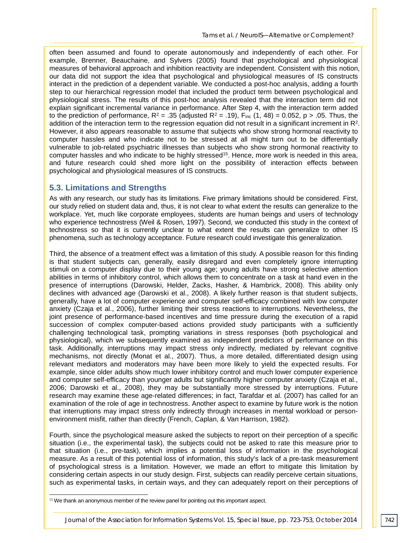often been assumed and found to operate autonomously and independently of each other. For example, Brenner, Beauchaine, and Sylvers (2005) found that psychological and physiological measures of behavioral approach and inhibition reactivity are independent. Consistent with this notion, our data did not support the idea that psychological and physiological measures of IS constructs interact in the prediction of a dependent variable. We conducted a post-hoc analysis, adding a fourth step to our hierarchical regression model that included the product term between psychological and physiological stress. The results of this post-hoc analysis revealed that the interaction term did not explain significant incremental variance in performance. After Step 4, with the interaction term added to the prediction of performance,  $R^2 = .35$  (adjusted  $R^2 = .19$ ),  $F_{inc}(1, 48) = 0.052$ , p > .05. Thus, the addition of the interaction term to the regression equation did not result in a significant increment in  $R<sup>2</sup>$ . However, it also appears reasonable to assume that subjects who show strong hormonal reactivity to computer hassles and who indicate not to be stressed at all might turn out to be differentially vulnerable to job-related psychiatric illnesses than subjects who show strong hormonal reactivity to computer hassles and who indicate to be highly stressed<sup>15</sup>. Hence, more work is needed in this area, and future research could shed more light on the possibility of interaction effects between psychological and physiological measures of IS constructs.

#### **5.3. Limitations and Strengths**

As with any research, our study has its limitations. Five primary limitations should be considered. First, our study relied on student data and, thus, it is not clear to what extent the results can generalize to the workplace. Yet, much like corporate employees, students are human beings and users of technology who experience technostress (Weil & Rosen, 1997). Second, we conducted this study in the context of technostress so that it is currently unclear to what extent the results can generalize to other IS phenomena, such as technology acceptance. Future research could investigate this generalization.

Third, the absence of a treatment effect was a limitation of this study. A possible reason for this finding is that student subjects can, generally, easily disregard and even completely ignore interrupting stimuli on a computer display due to their young age; young adults have strong selective attention abilities in terms of inhibitory control, which allows them to concentrate on a task at hand even in the presence of interruptions (Darowski, Helder, Zacks, Hasher, & Hambrick, 2008). This ability only declines with advanced age (Darowski et al., 2008). A likely further reason is that student subjects, generally, have a lot of computer experience and computer self-efficacy combined with low computer anxiety (Czaja et al., 2006), further limiting their stress reactions to interruptions. Nevertheless, the joint presence of performance-based incentives and time pressure during the execution of a rapid succession of complex computer-based actions provided study participants with a sufficiently challenging technological task, prompting variations in stress responses (both psychological and physiological), which we subsequently examined as independent predictors of performance on this task. Additionally, interruptions may impact stress only indirectly, mediated by relevant cognitive mechanisms, not directly (Monat et al., 2007). Thus, a more detailed, differentiated design using relevant mediators and moderators may have been more likely to yield the expected results. For example, since older adults show much lower inhibitory control and much lower computer experience and computer self-efficacy than younger adults but significantly higher computer anxiety (Czaja et al., 2006; Darowski et al., 2008), they may be substantially more stressed by interruptions. Future research may examine these age-related differences; in fact, Tarafdar et al. (2007) has called for an examination of the role of age in technostress. Another aspect to examine by future work is the notion that interruptions may impact stress only indirectly through increases in mental workload or personenvironment misfit, rather than directly (French, Caplan, & Van Harrison, 1982).

Fourth, since the psychological measure asked the subjects to report on their perception of a specific situation (i.e., the experimental task), the subjects could not be asked to rate this measure prior to that situation (i.e., pre-task), which implies a potential loss of information in the psychological measure. As a result of this potential loss of information, this study's lack of a pre-task measurement of psychological stress is a limitation. However, we made an effort to mitigate this limitation by considering certain aspects in our study design. First, subjects can readily perceive certain situations, such as experimental tasks, in certain ways, and they can adequately report on their perceptions of

<sup>&</sup>lt;sup>15</sup> We thank an anonymous member of the review panel for pointing out this important aspect. j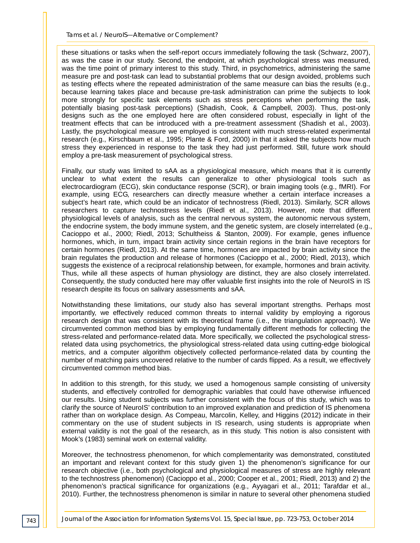these situations or tasks when the self-report occurs immediately following the task (Schwarz, 2007), as was the case in our study. Second, the endpoint, at which psychological stress was measured, was the time point of primary interest to this study. Third, in psychometrics, administering the same measure pre and post-task can lead to substantial problems that our design avoided, problems such as testing effects where the repeated administration of the same measure can bias the results (e.g., because learning takes place and because pre-task administration can prime the subjects to look more strongly for specific task elements such as stress perceptions when performing the task, potentially biasing post-task perceptions) (Shadish, Cook, & Campbell, 2003). Thus, post-only designs such as the one employed here are often considered robust, especially in light of the treatment effects that can be introduced with a pre-treatment assessment (Shadish et al., 2003). Lastly, the psychological measure we employed is consistent with much stress-related experimental research (e.g., Kirschbaum et al., 1995; Plante & Ford, 2000) in that it asked the subjects how much stress they experienced in response to the task they had just performed. Still, future work should employ a pre-task measurement of psychological stress.

Finally, our study was limited to sAA as a physiological measure, which means that it is currently unclear to what extent the results can generalize to other physiological tools such as electrocardiogram (ECG), skin conductance response (SCR), or brain imaging tools (e.g., fMRI). For example, using ECG, researchers can directly measure whether a certain interface increases a subject's heart rate, which could be an indicator of technostress (Riedl, 2013). Similarly, SCR allows researchers to capture technostress levels (Riedl et al., 2013). However, note that different physiological levels of analysis, such as the central nervous system, the autonomic nervous system, the endocrine system, the body immune system, and the genetic system, are closely interrelated (e.g., Cacioppo et al., 2000; Riedl, 2013; Schultheiss & Stanton, 2009). For example, genes influence hormones, which, in turn, impact brain activity since certain regions in the brain have receptors for certain hormones (Riedl, 2013). At the same time, hormones are impacted by brain activity since the brain regulates the production and release of hormones (Cacioppo et al., 2000; Riedl, 2013), which suggests the existence of a reciprocal relationship between, for example, hormones and brain activity. Thus, while all these aspects of human physiology are distinct, they are also closely interrelated. Consequently, the study conducted here may offer valuable first insights into the role of NeuroIS in IS research despite its focus on salivary assessments and sAA.

Notwithstanding these limitations, our study also has several important strengths. Perhaps most importantly, we effectively reduced common threats to internal validity by employing a rigorous research design that was consistent with its theoretical frame (i.e., the triangulation approach). We circumvented common method bias by employing fundamentally different methods for collecting the stress-related and performance-related data. More specifically, we collected the psychological stressrelated data using psychometrics, the physiological stress-related data using cutting-edge biological metrics, and a computer algorithm objectively collected performance-related data by counting the number of matching pairs uncovered relative to the number of cards flipped. As a result, we effectively circumvented common method bias.

In addition to this strength, for this study, we used a homogenous sample consisting of university students, and effectively controlled for demographic variables that could have otherwise influenced our results. Using student subjects was further consistent with the focus of this study, which was to clarify the source of NeuroIS' contribution to an improved explanation and prediction of IS phenomena rather than on workplace design. As Compeau, Marcolin, Kelley, and Higgins (2012) indicate in their commentary on the use of student subjects in IS research, using students is appropriate when external validity is not the goal of the research, as in this study. This notion is also consistent with Mook's (1983) seminal work on external validity.

Moreover, the technostress phenomenon, for which complementarity was demonstrated, constituted an important and relevant context for this study given 1) the phenomenon's significance for our research objective (i.e., both psychological and physiological measures of stress are highly relevant to the technostress phenomenon) (Cacioppo et al., 2000; Cooper et al., 2001; Riedl, 2013) and 2) the phenomenon's practical significance for organizations (e.g., Ayyagari et al., 2011; Tarafdar et al., 2010). Further, the technostress phenomenon is similar in nature to several other phenomena studied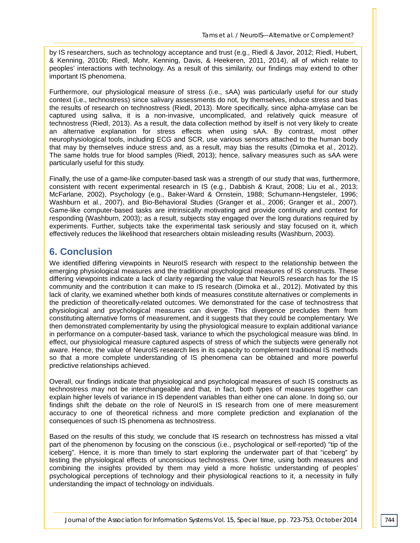by IS researchers, such as technology acceptance and trust (e.g., Riedl & Javor, 2012; Riedl, Hubert, & Kenning, 2010b; Riedl, Mohr, Kenning, Davis, & Heekeren, 2011, 2014), all of which relate to peoples' interactions with technology. As a result of this similarity, our findings may extend to other important IS phenomena.

Furthermore, our physiological measure of stress (i.e., sAA) was particularly useful for our study context (i.e., technostress) since salivary assessments do not, by themselves, induce stress and bias the results of research on technostress (Riedl, 2013). More specifically, since alpha-amylase can be captured using saliva, it is a non-invasive, uncomplicated, and relatively quick measure of technostress (Riedl, 2013). As a result, the data collection method by itself is not very likely to create an alternative explanation for stress effects when using sAA. By contrast, most other neurophysiological tools, including ECG and SCR, use various sensors attached to the human body that may by themselves induce stress and, as a result, may bias the results (Dimoka et al., 2012). The same holds true for blood samples (Riedl, 2013); hence, salivary measures such as sAA were particularly useful for this study.

Finally, the use of a game-like computer-based task was a strength of our study that was, furthermore, consistent with recent experimental research in IS (e.g., Dabbish & Kraut, 2008; Liu et al., 2013; McFarlane, 2002), Psychology (e.g., Baker-Ward & Ornstein, 1988; Schumann-Hengsteler, 1996; Washburn et al., 2007), and Bio-Behavioral Studies (Granger et al., 2006; Granger et al., 2007). Game-like computer-based tasks are intrinsically motivating and provide continuity and context for responding (Washburn, 2003); as a result, subjects stay engaged over the long durations required by experiments. Further, subjects take the experimental task seriously and stay focused on it, which effectively reduces the likelihood that researchers obtain misleading results (Washburn, 2003).

# **6. Conclusion**

We identified differing viewpoints in NeuroIS research with respect to the relationship between the emerging physiological measures and the traditional psychological measures of IS constructs. These differing viewpoints indicate a lack of clarity regarding the value that NeuroIS research has for the IS community and the contribution it can make to IS research (Dimoka et al., 2012). Motivated by this lack of clarity, we examined whether both kinds of measures constitute alternatives or complements in the prediction of theoretically-related outcomes. We demonstrated for the case of technostress that physiological and psychological measures can diverge. This divergence precludes them from constituting alternative forms of measurement, and it suggests that they could be complementary. We then demonstrated complementarity by using the physiological measure to explain additional variance in performance on a computer-based task, variance to which the psychological measure was blind. In effect, our physiological measure captured aspects of stress of which the subjects were generally not aware. Hence, the value of NeuroIS research lies in its capacity to complement traditional IS methods so that a more complete understanding of IS phenomena can be obtained and more powerful predictive relationships achieved.

Overall, our findings indicate that physiological and psychological measures of such IS constructs as technostress may not be interchangeable and that, in fact, both types of measures together can explain higher levels of variance in IS dependent variables than either one can alone. In doing so, our findings shift the debate on the role of NeuroIS in IS research from one of mere measurement accuracy to one of theoretical richness and more complete prediction and explanation of the consequences of such IS phenomena as technostress.

Based on the results of this study, we conclude that IS research on technostress has missed a vital part of the phenomenon by focusing on the conscious (i.e., psychological or self-reported) "tip of the iceberg". Hence, it is more than timely to start exploring the underwater part of that "iceberg" by testing the physiological effects of unconscious technostress. Over time, using both measures and combining the insights provided by them may yield a more holistic understanding of peoples' psychological perceptions of technology and their physiological reactions to it, a necessity in fully understanding the impact of technology on individuals.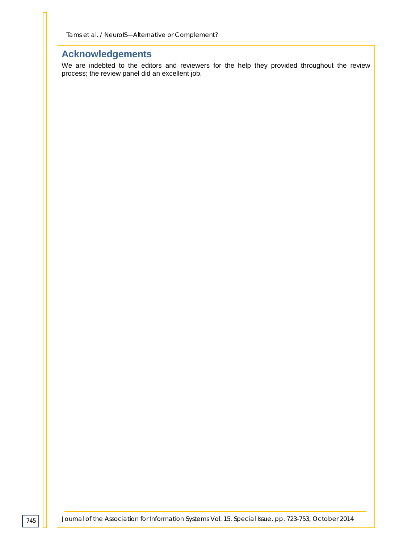# **Acknowledgements**

We are indebted to the editors and reviewers for the help they provided throughout the review process; the review panel did an excellent job.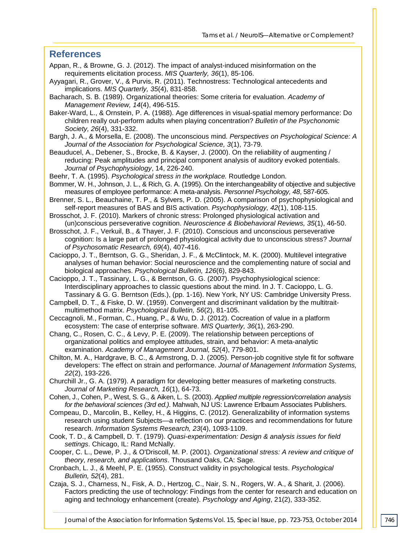#### **References**

- Appan, R., & Browne, G. J. (2012). The impact of analyst-induced misinformation on the requirements elicitation process. *MIS Quarterly, 36*(1), 85-106.
- Ayyagari, R., Grover, V., & Purvis, R. (2011). Technostress: Technological antecedents and implications. *MIS Quarterly, 35*(4), 831-858.

Bacharach, S. B. (1989). Organizational theories: Some criteria for evaluation. *Academy of Management Review, 14*(4), 496-515.

Baker-Ward, L., & Ornstein, P. A. (1988). Age differences in visual-spatial memory performance: Do children really out-perform adults when playing concentration? *Bulletin of the Psychonomic Society, 26*(4), 331-332.

Bargh, J. A., & Morsella, E. (2008). The unconscious mind. *Perspectives on Psychological Science: A Journal of the Association for Psychological Science, 3*(1), 73-79.

Beauducel, A., Debener, S., Brocke, B. & Kayser, J. (2000). On the reliability of augmenting / reducing: Peak amplitudes and principal component analysis of auditory evoked potentials. *Journal of Psychophysiology*, 14, 226‐240.

Beehr, T. A. (1995). *Psychological stress in the workplace.* Routledge London.

- Bommer, W. H., Johnson, J. L., & Rich, G. A. (1995). On the interchangeability of objective and subjective measures of employee performance: A meta-analysis. *Personnel Psychology, 48*, 587-605.
- Brenner, S. L., Beauchaine, T. P., & Sylvers, P. D. (2005). A comparison of psychophysiological and self-report measures of BAS and BIS activation. *Psychophysiology, 42*(1), 108-115.

Brosschot, J. F. (2010). Markers of chronic stress: Prolonged physiological activation and (un)conscious perseverative cognition. *Neuroscience & Biobehavioral Reviews, 35*(1), 46-50.

Brosschot, J. F., Verkuil, B., & Thayer, J. F. (2010). Conscious and unconscious perseverative cognition: Is a large part of prolonged physiological activity due to unconscious stress? *Journal of Psychosomatic Research, 69*(4), 407-416.

Cacioppo, J. T., Berntson, G. G., Sheridan, J. F., & McClintock, M. K. (2000). Multilevel integrative analyses of human behavior: Social neuroscience and the complementing nature of social and biological approaches. *Psychological Bulletin, 126*(6), 829-843.

Cacioppo, J. T., Tassinary, L. G., & Berntson, G. G. (2007). Psychophysiological science: Interdisciplinary approaches to classic questions about the mind. In J. T. Cacioppo, L. G. Tassinary & G. G. Berntson (Eds.), (pp. 1-16). New York, NY US: Cambridge University Press.

Campbell, D. T., & Fiske, D. W. (1959). Convergent and discriminant validation by the multitraitmultimethod matrix. *Psychological Bulletin, 56*(2), 81-105.

Ceccagnoli, M., Forman, C., Huang, P., & Wu, D. J. (2012). Cocreation of value in a platform ecosystem: The case of enterprise software. *MIS Quarterly, 36*(1), 263-290.

Chang, C., Rosen, C. C., & Levy, P. E. (2009). The relationship between perceptions of organizational politics and employee attitudes, strain, and behavior: A meta-analytic examination. *Academy of Management Journal, 52*(4), 779-801.

Chilton, M. A., Hardgrave, B. C., & Armstrong, D. J. (2005). Person-job cognitive style fit for software developers: The effect on strain and performance. *Journal of Management Information Systems, 22*(2), 193-226.

Churchill Jr., G. A. (1979). A paradigm for developing better measures of marketing constructs. *Journal of Marketing Research, 16*(1), 64-73.

Cohen, J., Cohen, P., West, S. G., & Aiken, L. S. (2003). *Applied multiple regression/correlation analysis for the behavioral sciences (3rd ed.)*. Mahwah, NJ US: Lawrence Erlbaum Associates Publishers.

Compeau, D., Marcolin, B., Kelley, H., & Higgins, C. (2012). Generalizability of information systems research using student Subjects—a reflection on our practices and recommendations for future research. *Information Systems Research, 23*(4), 1093-1109.

Cook, T. D., & Campbell, D. T. (1979). *Quasi-experimentation: Design & analysis issues for field settings*. Chicago, IL: Rand McNally.

Cooper, C. L., Dewe, P. J., & O'Driscoll, M. P. (2001). *Organizational stress: A review and critique of theory, research, and applications*. Thousand Oaks, CA: Sage.

Cronbach, L. J., & Meehl, P. E. (1955). Construct validity in psychological tests. *Psychological Bulletin, 52*(4), 281.

Czaja, S. J., Charness, N., Fisk, A. D., Hertzog, C., Nair, S. N., Rogers, W. A., & Sharit, J. (2006). Factors predicting the use of technology: Findings from the center for research and education on aging and technology enhancement (create). *Psychology and Aging*, 21(2), 333-352.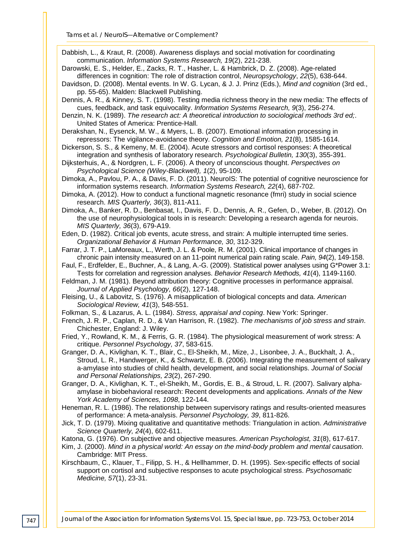*Tams et al. / NeuroIS—Alternative or Complement?*

Dabbish, L., & Kraut, R. (2008). Awareness displays and social motivation for coordinating communication. *Information Systems Research, 19*(2), 221-238.

- Darowski, E. S., Helder, E., Zacks, R. T., Hasher, L. & Hambrick, D. Z. (2008). Age-related differences in cognition: The role of distraction control, *Neuropsychology*, *22*(5), 638-644.
- Davidson, D. (2008). Mental events. In W. G. Lycan, & J. J. Prinz (Eds.), *Mind and cognition* (3rd ed., pp. 55-65). Malden: Blackwell Publishing.
- Dennis, A. R., & Kinney, S. T. (1998). Testing media richness theory in the new media: The effects of cues, feedback, and task equivocality. *Information Systems Research, 9*(3), 256-274.
- Denzin, N. K. (1989). *The research act: A theoretical introduction to sociological methods 3rd ed;*. United States of America: Prentice-Hall.
- Derakshan, N., Eysenck, M. W., & Myers, L. B. (2007). Emotional information processing in repressors: The vigilance-avoidance theory. *Cognition and Emotion, 21*(8), 1585-1614.
- Dickerson, S. S., & Kemeny, M. E. (2004). Acute stressors and cortisol responses: A theoretical integration and synthesis of laboratory research. *Psychological Bulletin, 130*(3), 355-391.
- Dijksterhuis, A., & Nordgren, L. F. (2006). A theory of unconscious thought. *Perspectives on Psychological Science (Wiley-Blackwell), 1*(2), 95-109.
- Dimoka, A., Pavlou, P. A., & Davis, F. D. (2011). NeuroIS: The potential of cognitive neuroscience for information systems research. *Information Systems Research, 22*(4), 687-702.
- Dimoka, A. (2012). How to conduct a functional magnetic resonance (fmri) study in social science research. *MIS Quarterly, 36*(3), 811-A11.
- Dimoka, A., Banker, R. D., Benbasat, I., Davis, F. D., Dennis, A. R., Gefen, D., Weber, B. (2012). On the use of neurophysiological tools in is research: Developing a research agenda for neurois. *MIS Quarterly, 36*(3), 679-A19.
- Eden, D. (1982). Critical job events, acute stress, and strain: A multiple interrupted time series. *Organizational Behavior & Human Performance, 30*, 312-329.
- Farrar, J. T. P., LaMoreaux, L., Werth, J. L. & Poole, R. M. (2001). Clinical importance of changes in chronic pain intensity measured on an 11-point numerical pain rating scale. *Pain, 94*(2), 149-158.
- Faul, F., Erdfelder, E., Buchner, A., & Lang, A.-G. (2009). Statistical power analyses using G\*Power 3.1: Tests for correlation and regression analyses. *Behavior Research Methods, 41*(4), 1149-1160.
- Feldman, J. M. (1981). Beyond attribution theory: Cognitive processes in performance appraisal. *Journal of Applied Psychology, 66*(2), 127-148.
- Fleising, U., & Labovitz, S. (1976). A misapplication of biological concepts and data. *American Sociological Review, 41*(3), 548-551.
- Folkman, S., & Lazarus, A. L. (1984). *Stress, appraisal and coping*. New York: Springer.
- French, J. R. P., Caplan, R. D., & Van Harrison, R. (1982). *The mechanisms of job stress and strain*. Chichester, England: J. Wiley.
- Fried, Y., Rowland, K. M., & Ferris, G. R. (1984). The physiological measurement of work stress: A critique. *Personnel Psychology, 37*, 583-615.
- Granger, D. A., Kivlighan, K. T., Blair, C., El-Sheikh, M., Mize, J., Lisonbee, J. A., Buckhalt, J. A., Stroud, L. R., Handwerger, K., & Schwartz, E. B. (2006). Integrating the measurement of salivary a-amylase into studies of child health, development, and social relationships. *Journal of Social and Personal Relationships, 23*(2), 267-290.
- Granger, D. A., Kivlighan, K. T., el-Sheikh, M., Gordis, E. B., & Stroud, L. R. (2007). Salivary alphaamylase in biobehavioral research: Recent developments and applications. *Annals of the New York Academy of Sciences, 1098*, 122-144.
- Heneman, R. L. (1986). The relationship between supervisory ratings and results-oriented measures of performance: A meta-analysis. *Personnel Psychology, 39*, 811-826.
- Jick, T. D. (1979). Mixing qualitative and quantitative methods: Triangulation in action. *Administrative Science Quarterly, 24*(4), 602-611.
- Katona, G. (1976). On subjective and objective measures. *American Psychologist, 31*(8), 617-617.
- Kim, J. (2000). *Mind in a physical world: An essay on the mind-body problem and mental causation*. Cambridge: MIT Press.
- Kirschbaum, C., Klauer, T., Filipp, S. H., & Hellhammer, D. H. (1995). Sex-specific effects of social support on cortisol and subjective responses to acute psychological stress. *Psychosomatic Medicine, 57*(1), 23-31.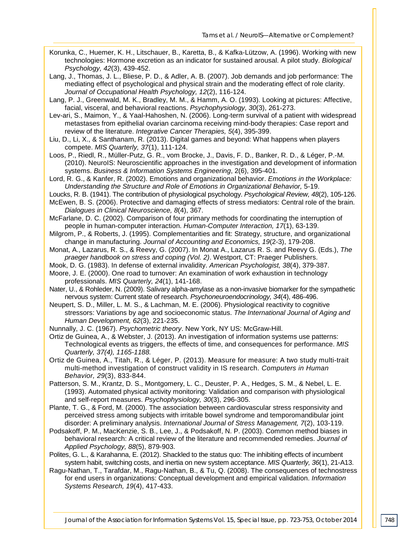- Korunka, C., Huemer, K. H., Litschauer, B., Karetta, B., & Kafka-Lützow, A. (1996). Working with new technologies: Hormone excretion as an indicator for sustained arousal. A pilot study. *Biological Psychology, 42*(3), 439-452.
- Lang, J., Thomas, J. L., Bliese, P. D., & Adler, A. B. (2007). Job demands and job performance: The mediating effect of psychological and physical strain and the moderating effect of role clarity. *Journal of Occupational Health Psychology, 12*(2), 116-124.

Lang, P. J., Greenwald, M. K., Bradley, M. M., & Hamm, A. O. (1993). Looking at pictures: Affective, facial, visceral, and behavioral reactions. *Psychophysiology, 30*(3), 261-273.

Lev-ari, S., Maimon, Y., & Yaal-Hahoshen, N. (2006). Long-term survival of a patient with widespread metastases from epithelial ovarian carcinoma receiving mind-body therapies: Case report and review of the literature. *Integrative Cancer Therapies, 5*(4), 395-399.

Liu, D., Li, X., & Santhanam, R. (2013). Digital games and beyond: What happens when players compete. *MIS Quarterly, 37*(1), 111-124.

Loos, P., Riedl, R., Müller-Putz, G. R., vom Brocke, J., Davis, F. D., Banker, R. D., & Léger, P.-M. (2010). NeuroIS: Neuroscientific approaches in the investigation and development of information systems. *Business & Information Systems Engineering*, 2(6), 395-401.

- Lord, R. G., & Kanfer, R. (2002). Emotions and organizational behavior. *Emotions in the Workplace: Understanding the Structure and Role of Emotions in Organizational Behavior,* 5-19.
- Loucks, R. B. (1941). The contribution of physiological psychology. *Psychological Review, 48*(2), 105-126.

McEwen, B. S. (2006). Protective and damaging effects of stress mediators: Central role of the brain. *Dialogues in Clinical Neuroscience, 8*(4), 367.

McFarlane, D. C. (2002). Comparison of four primary methods for coordinating the interruption of people in human-computer interaction. *Human-Computer Interaction, 17*(1), 63-139.

Milgrom, P., & Roberts, J. (1995). Complementarities and fit: Strategy, structure, and organizational change in manufacturing. *Journal of Accounting and Economics, 19*(2-3), 179-208.

Monat, A., Lazarus, R. S., & Reevy, G. (2007). In Monat A., Lazarus R. S. and Reevy G. (Eds.), *The praeger handbook on stress and coping (Vol. 2)*. Westport, CT: Praeger Publishers.

Mook, D. G. (1983). In defense of external invalidity. *American Psychologist, 38*(4), 379-387.

Moore, J. E. (2000). One road to turnover: An examination of work exhaustion in technology professionals. *MIS Quarterly, 24*(1), 141-168.

Nater, U., & Rohleder, N. (2009). Salivary alpha-amylase as a non-invasive biomarker for the sympathetic nervous system: Current state of research. *Psychoneuroendocrinology, 34*(4), 486-496.

Neupert, S. D., Miller, L. M. S., & Lachman, M. E. (2006). Physiological reactivity to cognitive stressors: Variations by age and socioeconomic status. *The International Journal of Aging and Human Development, 62*(3), 221-235.

Nunnally, J. C. (1967). *Psychometric theory*. New York, NY US: McGraw-Hill.

Ortiz de Guinea, A., & Webster, J. (2013). An investigation of information systems use patterns: Technological events as triggers, the effects of time, and consequences for performance. *MIS Quarterly, 37(4), 1165-1188.*

Ortiz de Guinea, A., Titah, R., & Léger, P. (2013). Measure for measure: A two study multi-trait multi-method investigation of construct validity in IS research. *Computers in Human Behavior, 29*(3), 833-844.

Patterson, S. M., Krantz, D. S., Montgomery, L. C., Deuster, P. A., Hedges, S. M., & Nebel, L. E. (1993). Automated physical activity monitoring: Validation and comparison with physiological and self-report measures. *Psychophysiology, 30*(3), 296-305.

Plante, T. G., & Ford, M. (2000). The association between cardiovascular stress responsivity and perceived stress among subjects with irritable bowel syndrome and temporomandibular joint disorder: A preliminary analysis. *International Journal of Stress Management, 7*(2), 103-119.

Podsakoff, P. M., MacKenzie, S. B., Lee, J., & Podsakoff, N. P. (2003). Common method biases in behavioral research: A critical review of the literature and recommended remedies. *Journal of Applied Psychology, 88*(5), 879-903.

Polites, G. L., & Karahanna, E. (2012). Shackled to the status quo: The inhibiting effects of incumbent system habit, switching costs, and inertia on new system acceptance. *MIS Quarterly, 36*(1), 21-A13.

Ragu-Nathan, T., Tarafdar, M., Ragu-Nathan, B., & Tu, Q. (2008). The consequences of technostress for end users in organizations: Conceptual development and empirical validation. *Information Systems Research, 19*(4), 417-433.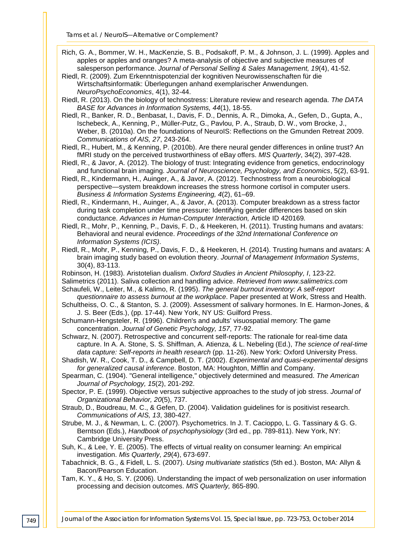- Rich, G. A., Bommer, W. H., MacKenzie, S. B., Podsakoff, P. M., & Johnson, J. L. (1999). Apples and apples or apples and oranges? A meta-analysis of objective and subjective measures of salesperson performance. *Journal of Personal Selling & Sales Management, 19*(4), 41-52.
- Riedl, R. (2009). Zum Erkenntnispotenzial der kognitiven Neurowissenschaften für die Wirtschaftsinformatik: Überlegungen anhand exemplarischer Anwendungen. *NeuroPsychoEconomics*, 4(1), 32-44.
- Riedl, R. (2013). On the biology of technostress: Literature review and research agenda. *The DATA BASE for Advances in Information Systems, 44*(1), 18-55.
- Riedl, R., Banker, R. D., Benbasat, I., Davis, F. D., Dennis, A. R., Dimoka, A., Gefen, D., Gupta, A., Ischebeck, A., Kenning, P., Müller-Putz, G., Pavlou, P. A., Straub, D. W., vom Brocke, J., Weber, B. (2010a). On the foundations of NeuroIS: Reflections on the Gmunden Retreat 2009. *Communications of AIS, 27*, 243-264.
- Riedl, R., Hubert, M., & Kenning, P. (2010b). Are there neural gender differences in online trust? An fMRI study on the perceived trustworthiness of eBay offers. *MIS Quarterly*, 34(2), 397-428.
- Riedl, R., & Javor, A. (2012). The biology of trust: Integrating evidence from genetics, endocrinology and functional brain imaging. *Journal of Neuroscience, Psychology, and Economics*, 5(2), 63-91.
- Riedl, R., Kindermann, H., Auinger, A., & Javor, A. (2012). Technostress from a neurobiological perspective—system breakdown increases the stress hormone cortisol in computer users. *Business & Information Systems Engineering, 4*(2), 61–69.
- Riedl, R., Kindermann, H., Auinger, A., & Javor, A. (2013). Computer breakdown as a stress factor during task completion under time pressure: Identifying gender differences based on skin conductance. *Advances in Human-Computer Interaction,* Article ID 420169*.*
- Riedl, R., Mohr, P., Kenning, P., Davis, F. D., & Heekeren, H. (2011). Trusting humans and avatars: Behavioral and neural evidence. *Proceedings of the 32nd International Conference on Information Systems (ICIS)*.
- Riedl, R., Mohr, P., Kenning, P., Davis, F. D., & Heekeren, H. (2014). Trusting humans and avatars: A brain imaging study based on evolution theory. *Journal of Management Information Systems*, 30(4), 83-113.
- Robinson, H. (1983). Aristotelian dualism. *Oxford Studies in Ancient Philosophy, I*, 123-22.
- Salimetrics (2011). Saliva collection and handling advice. *Retrieved from www.salimetrics.com* Schaufeli, W., Leiter, M., & Kalimo, R. (1995). *The general burnout inventory: A self-report*
- *questionnaire to assess burnout at the workplace*. Paper presented at Work, Stress and Health. Schultheiss, O. C., & Stanton, S. J. (2009). Assessment of salivary hormones. In E. Harmon-Jones, &
- J. S. Beer (Eds.), (pp. 17-44). New York, NY US: Guilford Press.
- Schumann-Hengsteler, R. (1996). Children's and adults' visuospatial memory: The game concentration. *Journal of Genetic Psychology, 157*, 77-92.
- Schwarz, N. (2007). Retrospective and concurrent self-reports: The rationale for real-time data capture. In A. A. Stone, S. S. Shiffman, A. Atienza, & L. Nebeling (Ed.), *The science of real-time data capture: Self-reports in health research* (pp. 11-26). New York: Oxford University Press.
- Shadish, W. R., Cook, T. D., & Campbell, D. T. (2002). *Experimental and quasi-experimental designs for generalized causal inference*. Boston, MA: Houghton, Mifflin and Company.
- Spearman, C. (1904). "General intelligence," objectively determined and measured. *The American Journal of Psychology, 15*(2), 201-292.
- Spector, P. E. (1999). Objective versus subjective approaches to the study of job stress. *Journal of Organizational Behavior, 20*(5), 737.
- Straub, D., Boudreau, M. C., & Gefen, D. (2004). Validation guidelines for is positivist research. *Communications of AIS, 13*, 380-427.
- Strube, M. J., & Newman, L. C. (2007). Psychometrics. In J. T. Cacioppo, L. G. Tassinary & G. G. Berntson (Eds.), *Handbook of psychophysiology* (3rd ed., pp. 789-811). New York, NY: Cambridge University Press.
- Suh, K., & Lee, Y. E. (2005). The effects of virtual reality on consumer learning: An empirical investigation. *Mis Quarterly, 29*(4), 673-697.
- Tabachnick, B. G., & Fidell, L. S. (2007). *Using multivariate statistics* (5th ed.). Boston, MA: Allyn & Bacon/Pearson Education.
- Tam, K. Y., & Ho, S. Y. (2006). Understanding the impact of web personalization on user information processing and decision outcomes. *MIS Quarterly,* 865-890.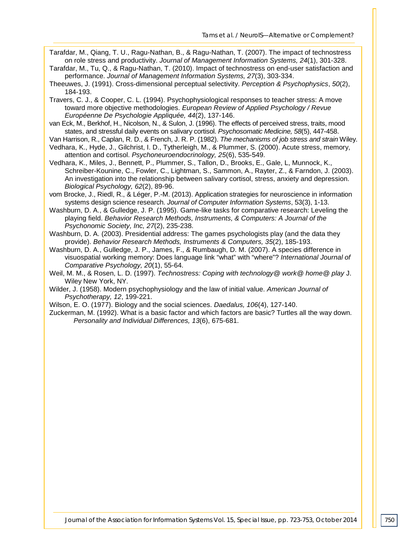Tarafdar, M., Qiang, T. U., Ragu-Nathan, B., & Ragu-Nathan, T. (2007). The impact of technostress on role stress and productivity. *Journal of Management Information Systems, 24*(1), 301-328.

Tarafdar, M., Tu, Q., & Ragu-Nathan, T. (2010). Impact of technostress on end-user satisfaction and performance. *Journal of Management Information Systems, 27*(3), 303-334.

Theeuwes, J. (1991). Cross-dimensional perceptual selectivity. *Perception & Psychophysics*, *50*(2), 184-193.

Travers, C. J., & Cooper, C. L. (1994). Psychophysiological responses to teacher stress: A move toward more objective methodologies. *European Review of Applied Psychology / Revue Européenne De Psychologie Appliquée, 44*(2), 137-146.

van Eck, M., Berkhof, H., Nicolson, N., & Sulon, J. (1996). The effects of perceived stress, traits, mood states, and stressful daily events on salivary cortisol. *Psychosomatic Medicine, 58*(5), 447-458.

- Van Harrison, R., Caplan, R. D., & French, J. R. P. (1982). *The mechanisms of job stress and strain* Wiley.
- Vedhara, K., Hyde, J., Gilchrist, I. D., Tytherleigh, M., & Plummer, S. (2000). Acute stress, memory, attention and cortisol. *Psychoneuroendocrinology, 25*(6), 535-549.

Vedhara, K., Miles, J., Bennett, P., Plummer, S., Tallon, D., Brooks, E., Gale, L, Munnock, K., Schreiber-Kounine, C., Fowler, C., Lightman, S., Sammon, A., Rayter, Z., & Farndon, J. (2003). An investigation into the relationship between salivary cortisol, stress, anxiety and depression. *Biological Psychology, 62*(2), 89-96.

vom Brocke, J., Riedl, R., & Léger, P.-M. (2013). Application strategies for neuroscience in information systems design science research. *Journal of Computer Information Systems*, 53(3), 1-13.

Washburn, D. A., & Gulledge, J. P. (1995). Game-like tasks for comparative research: Leveling the playing field. *Behavior Research Methods, Instruments, & Computers: A Journal of the Psychonomic Society, Inc, 27*(2), 235-238.

Washburn, D. A. (2003). Presidential address: The games psychologists play (and the data they provide). *Behavior Research Methods, Instruments & Computers, 35*(2), 185-193.

Washburn, D. A., Gulledge, J. P., James, F., & Rumbaugh, D. M. (2007). A species difference in visuospatial working memory: Does language link "what" with "where"? *International Journal of Comparative Psychology, 20*(1), 55-64.

Weil, M. M., & Rosen, L. D. (1997). *Technostress: Coping with technology@ work@ home@ play* J. Wiley New York, NY.

Wilder, J. (1958). Modern psychophysiology and the law of initial value. *American Journal of Psychotherapy, 12*, 199-221.

Wilson, E. O. (1977). Biology and the social sciences. *Daedalus, 106*(4), 127-140.

Zuckerman, M. (1992). What is a basic factor and which factors are basic? Turtles all the way down. *Personality and Individual Differences, 13*(6), 675-681.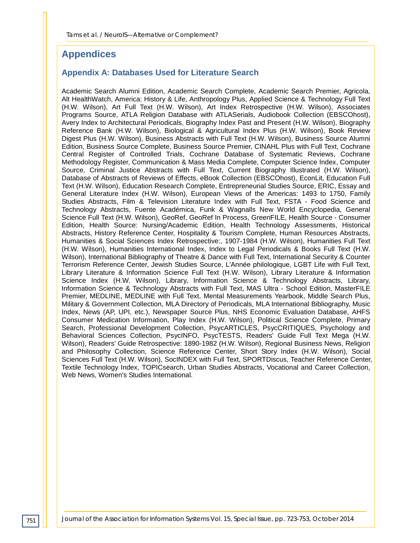## **Appendices**

#### **Appendix A: Databases Used for Literature Search**

Academic Search Alumni Edition, Academic Search Complete, Academic Search Premier, Agricola, Alt HealthWatch, America: History & Life, Anthropology Plus, Applied Science & Technology Full Text (H.W. Wilson), Art Full Text (H.W. Wilson), Art Index Retrospective (H.W. Wilson), Associates Programs Source, ATLA Religion Database with ATLASerials, Audiobook Collection (EBSCOhost), Avery Index to Architectural Periodicals, Biography Index Past and Present (H.W. Wilson), Biography Reference Bank (H.W. Wilson), Biological & Agricultural Index Plus (H.W. Wilson), Book Review Digest Plus (H.W. Wilson), Business Abstracts with Full Text (H.W. Wilson), Business Source Alumni Edition, Business Source Complete, Business Source Premier, CINAHL Plus with Full Text, Cochrane Central Register of Controlled Trials, Cochrane Database of Systematic Reviews, Cochrane Methodology Register, Communication & Mass Media Complete, Computer Science Index, Computer Source, Criminal Justice Abstracts with Full Text, Current Biography Illustrated (H.W. Wilson), Database of Abstracts of Reviews of Effects, eBook Collection (EBSCOhost), EconLit, Education Full Text (H.W. Wilson), Education Research Complete, Entrepreneurial Studies Source, ERIC, Essay and General Literature Index (H.W. Wilson), European Views of the Americas: 1493 to 1750, Family Studies Abstracts, Film & Television Literature Index with Full Text, FSTA - Food Science and Technology Abstracts, Fuente Académica, Funk & Wagnalls New World Encyclopedia, General Science Full Text (H.W. Wilson), GeoRef, GeoRef In Process, GreenFILE, Health Source - Consumer Edition, Health Source: Nursing/Academic Edition, Health Technology Assessments, Historical Abstracts, History Reference Center, Hospitality & Tourism Complete, Human Resources Abstracts, Humanities & Social Sciences Index Retrospective:, 1907-1984 (H.W. Wilson), Humanities Full Text (H.W. Wilson), Humanities International Index, Index to Legal Periodicals & Books Full Text (H.W. Wilson), International Bibliography of Theatre & Dance with Full Text, International Security & Counter Terrorism Reference Center, Jewish Studies Source, L'Année philologique, LGBT Life with Full Text, Library Literature & Information Science Full Text (H.W. Wilson), Library Literature & Information Science Index (H.W. Wilson), Library, Information Science & Technology Abstracts, Library, Information Science & Technology Abstracts with Full Text, MAS Ultra - School Edition, MasterFILE Premier, MEDLINE, MEDLINE with Full Text, Mental Measurements Yearbook, Middle Search Plus, Military & Government Collection, MLA Directory of Periodicals, MLA International Bibliography, Music Index, News (AP, UPI, etc.), Newspaper Source Plus, NHS Economic Evaluation Database, AHFS Consumer Medication Information, Play Index (H.W. Wilson), Political Science Complete, Primary Search, Professional Development Collection, PsycARTICLES, PsycCRITIQUES, Psychology and Behavioral Sciences Collection, PsycINFO, PsycTESTS, Readers' Guide Full Text Mega (H.W. Wilson), Readers' Guide Retrospective: 1890-1982 (H.W. Wilson), Regional Business News, Religion and Philosophy Collection, Science Reference Center, Short Story Index (H.W. Wilson), Social Sciences Full Text (H.W. Wilson), SocINDEX with Full Text, SPORTDiscus, Teacher Reference Center, Textile Technology Index, TOPICsearch, Urban Studies Abstracts, Vocational and Career Collection, Web News, Women's Studies International.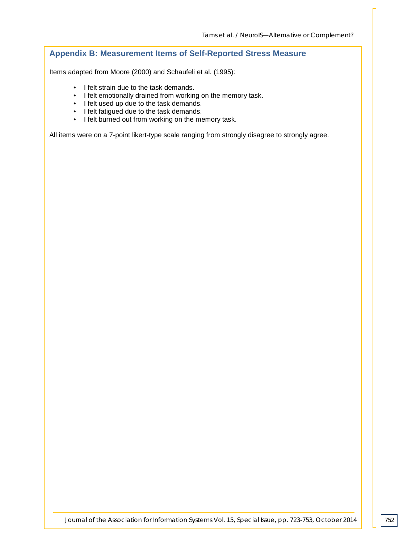#### **Appendix B: Measurement Items of Self-Reported Stress Measure**

Items adapted from Moore (2000) and Schaufeli et al. (1995):

- I felt strain due to the task demands.
- I felt emotionally drained from working on the memory task.
- I felt used up due to the task demands.
- I felt fatigued due to the task demands.
- I felt burned out from working on the memory task.

All items were on a 7-point likert-type scale ranging from strongly disagree to strongly agree.